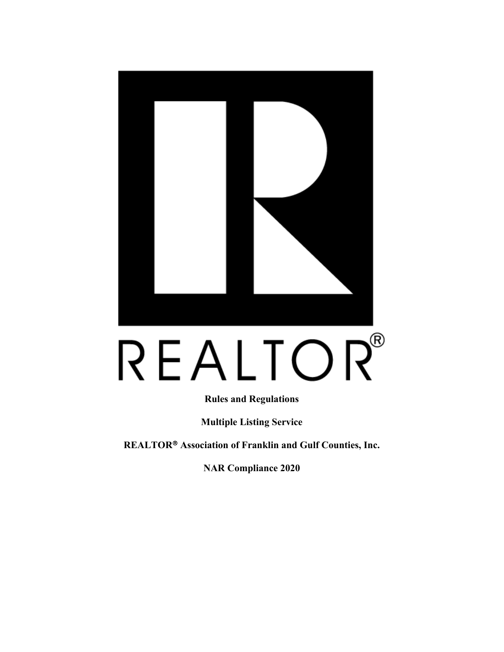

# REALTOR®

**Rules and Regulations** 

**Multiple Listing Service** 

**REALTOR Association of Franklin and Gulf Counties, Inc.** 

**NAR Compliance 2020**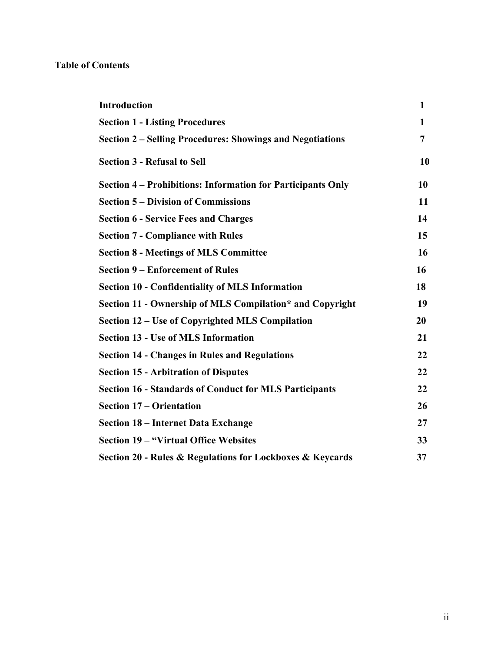# **Table of Contents**

| <b>Introduction</b>                                           | $\mathbf{1}$ |
|---------------------------------------------------------------|--------------|
| <b>Section 1 - Listing Procedures</b>                         | 1            |
| Section 2 – Selling Procedures: Showings and Negotiations     | 7            |
| <b>Section 3 - Refusal to Sell</b>                            | 10           |
| Section 4 – Prohibitions: Information for Participants Only   | 10           |
| <b>Section 5 – Division of Commissions</b>                    | 11           |
| <b>Section 6 - Service Fees and Charges</b>                   | 14           |
| <b>Section 7 - Compliance with Rules</b>                      | 15           |
| <b>Section 8 - Meetings of MLS Committee</b>                  | 16           |
| <b>Section 9 – Enforcement of Rules</b>                       | 16           |
| <b>Section 10 - Confidentiality of MLS Information</b>        | 18           |
| Section 11 - Ownership of MLS Compilation* and Copyright      | 19           |
| Section 12 – Use of Copyrighted MLS Compilation               | 20           |
| <b>Section 13 - Use of MLS Information</b>                    | 21           |
| <b>Section 14 - Changes in Rules and Regulations</b>          | 22           |
| <b>Section 15 - Arbitration of Disputes</b>                   | 22           |
| <b>Section 16 - Standards of Conduct for MLS Participants</b> | 22           |
| <b>Section 17 – Orientation</b>                               | 26           |
| <b>Section 18 - Internet Data Exchange</b>                    | 27           |
| <b>Section 19 – "Virtual Office Websites</b>                  | 33           |
| Section 20 - Rules & Regulations for Lockboxes & Keycards     | 37           |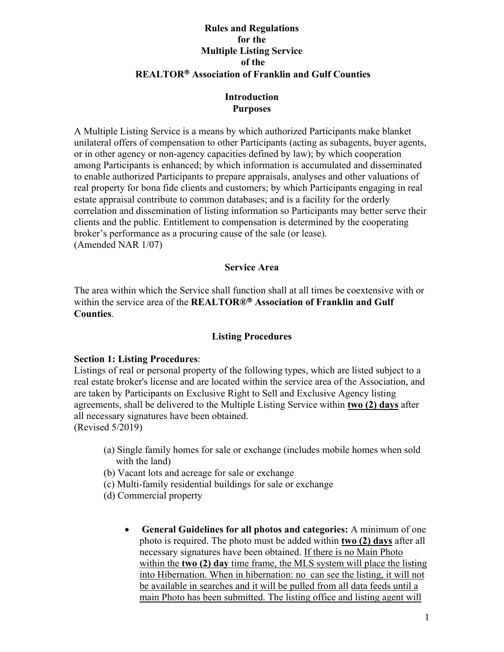## **Rules and Regulations for the Multiple Listing Service of the REALTOR Association of Franklin and Gulf Counties**

## **Introduction Purposes**

A Multiple Listing Service is a means by which authorized Participants make blanket unilateral offers of compensation to other Participants (acting as subagents, buyer agents, or in other agency or non-agency capacities defined by law); by which cooperation among Participants is enhanced; by which information is accumulated and disseminated to enable authorized Participants to prepare appraisals, analyses and other valuations of real property for bona fide clients and customers; by which Participants engaging in real estate appraisal contribute to common databases; and is a facility for the orderly correlation and dissemination of listing information so Participants may better serve their clients and the public. Entitlement to compensation is determined by the cooperating broker's performance as a procuring cause of the sale (or lease). (Amended NAR 1/07)

## **Service Area**

The area within which the Service shall function shall at all times be coextensive with or within the service area of the **REALTOR® Association of Franklin and Gulf Counties**.

# **Listing Procedures**

## **Section 1: Listing Procedures**:

Listings of real or personal property of the following types, which are listed subject to a real estate broker's license and are located within the service area of the Association, and are taken by Participants on Exclusive Right to Sell and Exclusive Agency listing agreements, shall be delivered to the Multiple Listing Service within **two (2) days** after all necessary signatures have been obtained. (Revised 5/2019)

- (a) Single family homes for sale or exchange (includes mobile homes when sold with the land)
- (b) Vacant lots and acreage for sale or exchange
- (c) Multi-family residential buildings for sale or exchange
- (d) Commercial property
	- **General Guidelines for all photos and categories:** A minimum of one photo is required. The photo must be added within **two (2) days** after all necessary signatures have been obtained. If there is no Main Photo within the **two (2) day** time frame, the MLS system will place the listing into Hibernation. When in hibernation: no can see the listing, it will not be available in searches and it will be pulled from all data feeds until a main Photo has been submitted. The listing office and listing agent will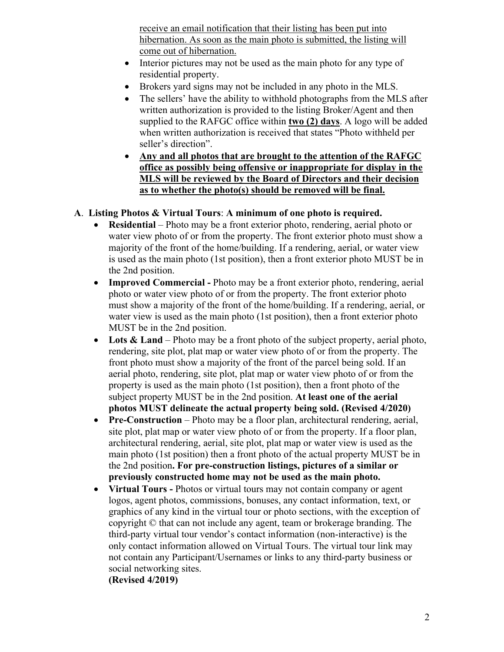receive an email notification that their listing has been put into hibernation. As soon as the main photo is submitted, the listing will come out of hibernation.

- Interior pictures may not be used as the main photo for any type of residential property.
- Brokers yard signs may not be included in any photo in the MLS.
- The sellers' have the ability to withhold photographs from the MLS after written authorization is provided to the listing Broker/Agent and then supplied to the RAFGC office within **two (2) days**. A logo will be added when written authorization is received that states "Photo withheld per seller's direction".
- **Any and all photos that are brought to the attention of the RAFGC office as possibly being offensive or inappropriate for display in the MLS will be reviewed by the Board of Directors and their decision as to whether the photo(s) should be removed will be final.**

# **A**. **Listing Photos & Virtual Tours**: **A minimum of one photo is required.**

- **Residential** Photo may be a front exterior photo, rendering, aerial photo or water view photo of or from the property. The front exterior photo must show a majority of the front of the home/building. If a rendering, aerial, or water view is used as the main photo (1st position), then a front exterior photo MUST be in the 2nd position.
- **Improved Commercial -** Photo may be a front exterior photo, rendering, aerial photo or water view photo of or from the property. The front exterior photo must show a majority of the front of the home/building. If a rendering, aerial, or water view is used as the main photo (1st position), then a front exterior photo MUST be in the 2nd position.
- Lots & Land Photo may be a front photo of the subject property, aerial photo, rendering, site plot, plat map or water view photo of or from the property. The front photo must show a majority of the front of the parcel being sold. If an aerial photo, rendering, site plot, plat map or water view photo of or from the property is used as the main photo (1st position), then a front photo of the subject property MUST be in the 2nd position. **At least one of the aerial photos MUST delineate the actual property being sold. (Revised 4/2020)**
- **Pre-Construction** Photo may be a floor plan, architectural rendering, aerial, site plot, plat map or water view photo of or from the property. If a floor plan, architectural rendering, aerial, site plot, plat map or water view is used as the main photo (1st position) then a front photo of the actual property MUST be in the 2nd position**. For pre-construction listings, pictures of a similar or previously constructed home may not be used as the main photo.**
- **Virtual Tours -** Photos or virtual tours may not contain company or agent logos, agent photos, commissions, bonuses, any contact information, text, or graphics of any kind in the virtual tour or photo sections, with the exception of copyright © that can not include any agent, team or brokerage branding. The third-party virtual tour vendor's contact information (non-interactive) is the only contact information allowed on Virtual Tours. The virtual tour link may not contain any Participant/Usernames or links to any third-party business or social networking sites.

**(Revised 4/2019)**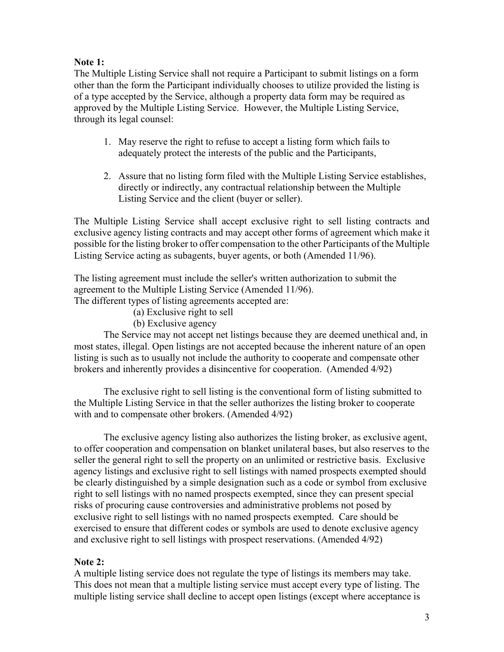#### **Note 1:**

The Multiple Listing Service shall not require a Participant to submit listings on a form other than the form the Participant individually chooses to utilize provided the listing is of a type accepted by the Service, although a property data form may be required as approved by the Multiple Listing Service. However, the Multiple Listing Service, through its legal counsel:

- 1. May reserve the right to refuse to accept a listing form which fails to adequately protect the interests of the public and the Participants,
- 2. Assure that no listing form filed with the Multiple Listing Service establishes, directly or indirectly, any contractual relationship between the Multiple Listing Service and the client (buyer or seller).

The Multiple Listing Service shall accept exclusive right to sell listing contracts and exclusive agency listing contracts and may accept other forms of agreement which make it possible for the listing broker to offer compensation to the other Participants of the Multiple Listing Service acting as subagents, buyer agents, or both (Amended 11/96).

The listing agreement must include the seller's written authorization to submit the agreement to the Multiple Listing Service (Amended 11/96).

The different types of listing agreements accepted are:

- (a) Exclusive right to sell
- (b) Exclusive agency

The Service may not accept net listings because they are deemed unethical and, in most states, illegal. Open listings are not accepted because the inherent nature of an open listing is such as to usually not include the authority to cooperate and compensate other brokers and inherently provides a disincentive for cooperation. (Amended 4/92)

The exclusive right to sell listing is the conventional form of listing submitted to the Multiple Listing Service in that the seller authorizes the listing broker to cooperate with and to compensate other brokers. (Amended 4/92)

The exclusive agency listing also authorizes the listing broker, as exclusive agent, to offer cooperation and compensation on blanket unilateral bases, but also reserves to the seller the general right to sell the property on an unlimited or restrictive basis. Exclusive agency listings and exclusive right to sell listings with named prospects exempted should be clearly distinguished by a simple designation such as a code or symbol from exclusive right to sell listings with no named prospects exempted, since they can present special risks of procuring cause controversies and administrative problems not posed by exclusive right to sell listings with no named prospects exempted. Care should be exercised to ensure that different codes or symbols are used to denote exclusive agency and exclusive right to sell listings with prospect reservations. (Amended 4/92)

#### **Note 2:**

A multiple listing service does not regulate the type of listings its members may take. This does not mean that a multiple listing service must accept every type of listing. The multiple listing service shall decline to accept open listings (except where acceptance is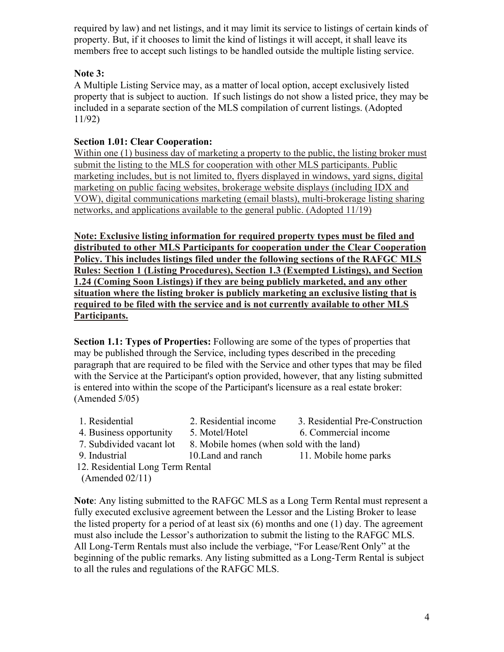required by law) and net listings, and it may limit its service to listings of certain kinds of property. But, if it chooses to limit the kind of listings it will accept, it shall leave its members free to accept such listings to be handled outside the multiple listing service.

## **Note 3:**

A Multiple Listing Service may, as a matter of local option, accept exclusively listed property that is subject to auction. If such listings do not show a listed price, they may be included in a separate section of the MLS compilation of current listings. (Adopted 11/92)

## **Section 1.01: Clear Cooperation:**

Within one (1) business day of marketing a property to the public, the listing broker must submit the listing to the MLS for cooperation with other MLS participants. Public marketing includes, but is not limited to, flyers displayed in windows, yard signs, digital marketing on public facing websites, brokerage website displays (including IDX and VOW), digital communications marketing (email blasts), multi-brokerage listing sharing networks, and applications available to the general public. (Adopted 11/19)

**Note: Exclusive listing information for required property types must be filed and distributed to other MLS Participants for cooperation under the Clear Cooperation Policy. This includes listings filed under the following sections of the RAFGC MLS Rules: Section 1 (Listing Procedures), Section 1.3 (Exempted Listings), and Section 1.24 (Coming Soon Listings) if they are being publicly marketed, and any other situation where the listing broker is publicly marketing an exclusive listing that is required to be filed with the service and is not currently available to other MLS Participants.**

**Section 1.1: Types of Properties:** Following are some of the types of properties that may be published through the Service, including types described in the preceding paragraph that are required to be filed with the Service and other types that may be filed with the Service at the Participant's option provided, however, that any listing submitted is entered into within the scope of the Participant's licensure as a real estate broker: (Amended 5/05)

- 1. Residential 2. Residential income 3. Residential Pre-Construction
	-
- 
- 4. Business opportunity 5. Motel/Hotel 6. Commercial income
- 7. Subdivided vacant lot 8. Mobile homes (when sold with the land)
- 
- 
- 9. Industrial 10.Land and ranch 11. Mobile home parks
- 
- 12. Residential Long Term Rental
- (Amended 02/11)

**Note**: Any listing submitted to the RAFGC MLS as a Long Term Rental must represent a fully executed exclusive agreement between the Lessor and the Listing Broker to lease the listed property for a period of at least six (6) months and one (1) day. The agreement must also include the Lessor's authorization to submit the listing to the RAFGC MLS. All Long-Term Rentals must also include the verbiage, "For Lease/Rent Only" at the beginning of the public remarks. Any listing submitted as a Long-Term Rental is subject to all the rules and regulations of the RAFGC MLS.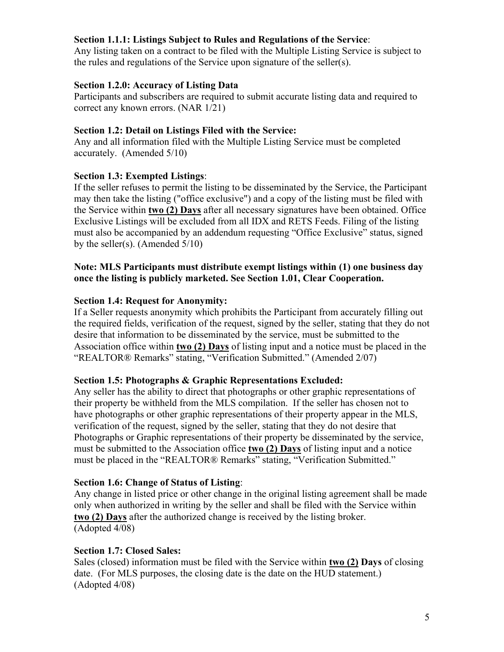## **Section 1.1.1: Listings Subject to Rules and Regulations of the Service**:

Any listing taken on a contract to be filed with the Multiple Listing Service is subject to the rules and regulations of the Service upon signature of the seller(s).

## **Section 1.2.0: Accuracy of Listing Data**

Participants and subscribers are required to submit accurate listing data and required to correct any known errors. (NAR 1/21)

## **Section 1.2: Detail on Listings Filed with the Service:**

Any and all information filed with the Multiple Listing Service must be completed accurately. (Amended 5/10)

## **Section 1.3: Exempted Listings**:

If the seller refuses to permit the listing to be disseminated by the Service, the Participant may then take the listing ("office exclusive") and a copy of the listing must be filed with the Service within **two (2) Days** after all necessary signatures have been obtained. Office Exclusive Listings will be excluded from all IDX and RETS Feeds. Filing of the listing must also be accompanied by an addendum requesting "Office Exclusive" status, signed by the seller(s). (Amended  $5/10$ )

## **Note: MLS Participants must distribute exempt listings within (1) one business day once the listing is publicly marketed. See Section 1.01, Clear Cooperation.**

## **Section 1.4: Request for Anonymity:**

If a Seller requests anonymity which prohibits the Participant from accurately filling out the required fields, verification of the request, signed by the seller, stating that they do not desire that information to be disseminated by the service, must be submitted to the Association office within **two (2) Days** of listing input and a notice must be placed in the "REALTOR® Remarks" stating, "Verification Submitted." (Amended 2/07)

#### **Section 1.5: Photographs & Graphic Representations Excluded:**

Any seller has the ability to direct that photographs or other graphic representations of their property be withheld from the MLS compilation. If the seller has chosen not to have photographs or other graphic representations of their property appear in the MLS, verification of the request, signed by the seller, stating that they do not desire that Photographs or Graphic representations of their property be disseminated by the service, must be submitted to the Association office **two (2) Days** of listing input and a notice must be placed in the "REALTOR® Remarks" stating, "Verification Submitted."

#### **Section 1.6: Change of Status of Listing**:

 **two (2) Days** after the authorized change is received by the listing broker. Any change in listed price or other change in the original listing agreement shall be made only when authorized in writing by the seller and shall be filed with the Service within (Adopted 4/08)

## **Section 1.7: Closed Sales:**

Sales (closed) information must be filed with the Service within **two (2) Days** of closing date. (For MLS purposes, the closing date is the date on the HUD statement.) (Adopted 4/08)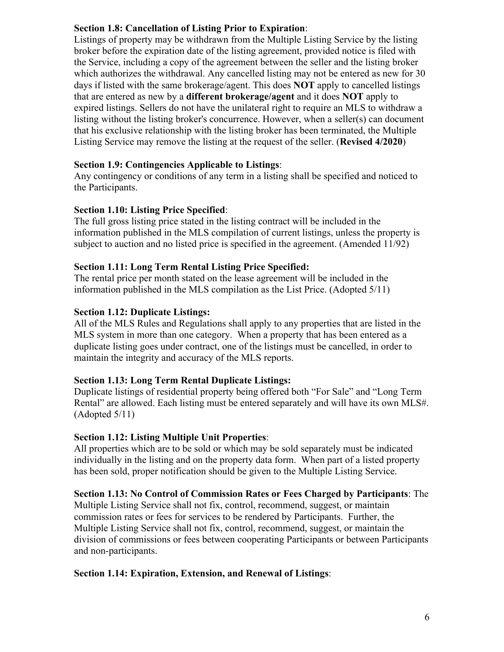## **Section 1.8: Cancellation of Listing Prior to Expiration**:

Listings of property may be withdrawn from the Multiple Listing Service by the listing broker before the expiration date of the listing agreement, provided notice is filed with the Service, including a copy of the agreement between the seller and the listing broker which authorizes the withdrawal. Any cancelled listing may not be entered as new for 30 days if listed with the same brokerage/agent. This does **NOT** apply to cancelled listings that are entered as new by a **different brokerage/agent** and it does **NOT** apply to expired listings. Sellers do not have the unilateral right to require an MLS to withdraw a listing without the listing broker's concurrence. However, when a seller(s) can document that his exclusive relationship with the listing broker has been terminated, the Multiple Listing Service may remove the listing at the request of the seller. (**Revised 4/2020**)

## **Section 1.9: Contingencies Applicable to Listings**:

Any contingency or conditions of any term in a listing shall be specified and noticed to the Participants.

## **Section 1.10: Listing Price Specified**:

The full gross listing price stated in the listing contract will be included in the information published in the MLS compilation of current listings, unless the property is subject to auction and no listed price is specified in the agreement. (Amended 11/92)

## **Section 1.11: Long Term Rental Listing Price Specified:**

The rental price per month stated on the lease agreement will be included in the information published in the MLS compilation as the List Price. (Adopted 5/11)

## **Section 1.12: Duplicate Listings:**

All of the MLS Rules and Regulations shall apply to any properties that are listed in the MLS system in more than one category. When a property that has been entered as a duplicate listing goes under contract, one of the listings must be cancelled, in order to maintain the integrity and accuracy of the MLS reports.

#### **Section 1.13: Long Term Rental Duplicate Listings:**

Duplicate listings of residential property being offered both "For Sale" and "Long Term Rental" are allowed. Each listing must be entered separately and will have its own MLS#. (Adopted 5/11)

## **Section 1.12: Listing Multiple Unit Properties**:

All properties which are to be sold or which may be sold separately must be indicated individually in the listing and on the property data form. When part of a listed property has been sold, proper notification should be given to the Multiple Listing Service.

## **Section 1.13: No Control of Commission Rates or Fees Charged by Participants**: The

Multiple Listing Service shall not fix, control, recommend, suggest, or maintain commission rates or fees for services to be rendered by Participants. Further, the Multiple Listing Service shall not fix, control, recommend, suggest, or maintain the division of commissions or fees between cooperating Participants or between Participants and non-participants.

#### **Section 1.14: Expiration, Extension, and Renewal of Listings**: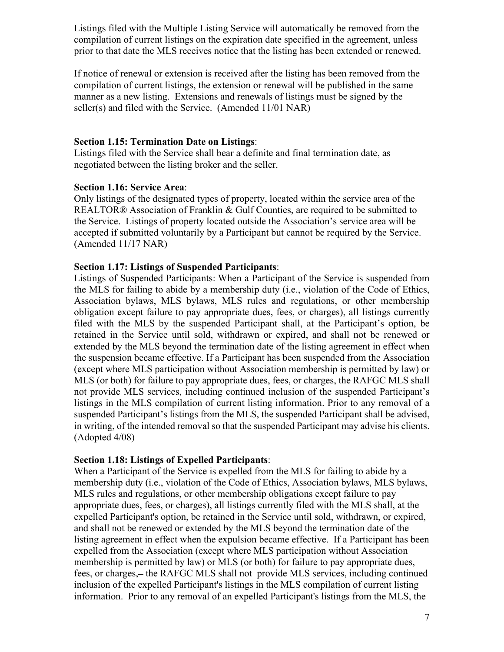Listings filed with the Multiple Listing Service will automatically be removed from the compilation of current listings on the expiration date specified in the agreement, unless prior to that date the MLS receives notice that the listing has been extended or renewed.

If notice of renewal or extension is received after the listing has been removed from the compilation of current listings, the extension or renewal will be published in the same manner as a new listing. Extensions and renewals of listings must be signed by the seller(s) and filed with the Service. (Amended 11/01 NAR)

#### **Section 1.15: Termination Date on Listings**:

Listings filed with the Service shall bear a definite and final termination date, as negotiated between the listing broker and the seller.

## **Section 1.16: Service Area**:

Only listings of the designated types of property, located within the service area of the REALTOR<sup>®</sup> Association of Franklin & Gulf Counties, are required to be submitted to the Service. Listings of property located outside the Association's service area will be accepted if submitted voluntarily by a Participant but cannot be required by the Service. (Amended 11/17 NAR)

## **Section 1.17: Listings of Suspended Participants**:

 (except where MLS participation without Association membership is permitted by law) or not provide MLS services, including continued inclusion of the suspended Participant's Listings of Suspended Participants: When a Participant of the Service is suspended from the MLS for failing to abide by a membership duty (i.e., violation of the Code of Ethics, Association bylaws, MLS bylaws, MLS rules and regulations, or other membership obligation except failure to pay appropriate dues, fees, or charges), all listings currently filed with the MLS by the suspended Participant shall, at the Participant's option, be retained in the Service until sold, withdrawn or expired, and shall not be renewed or extended by the MLS beyond the termination date of the listing agreement in effect when the suspension became effective. If a Participant has been suspended from the Association MLS (or both) for failure to pay appropriate dues, fees, or charges, the RAFGC MLS shall listings in the MLS compilation of current listing information. Prior to any removal of a suspended Participant's listings from the MLS, the suspended Participant shall be advised, in writing, of the intended removal so that the suspended Participant may advise his clients. (Adopted 4/08)

## **Section 1.18: Listings of Expelled Participants**:

When a Participant of the Service is expelled from the MLS for failing to abide by a membership duty (i.e., violation of the Code of Ethics, Association bylaws, MLS bylaws, MLS rules and regulations, or other membership obligations except failure to pay appropriate dues, fees, or charges), all listings currently filed with the MLS shall, at the expelled Participant's option, be retained in the Service until sold, withdrawn, or expired, and shall not be renewed or extended by the MLS beyond the termination date of the listing agreement in effect when the expulsion became effective. If a Participant has been expelled from the Association (except where MLS participation without Association membership is permitted by law) or MLS (or both) for failure to pay appropriate dues, fees, or charges, – the RAFGC MLS shall not provide MLS services, including continued inclusion of the expelled Participant's listings in the MLS compilation of current listing information. Prior to any removal of an expelled Participant's listings from the MLS, the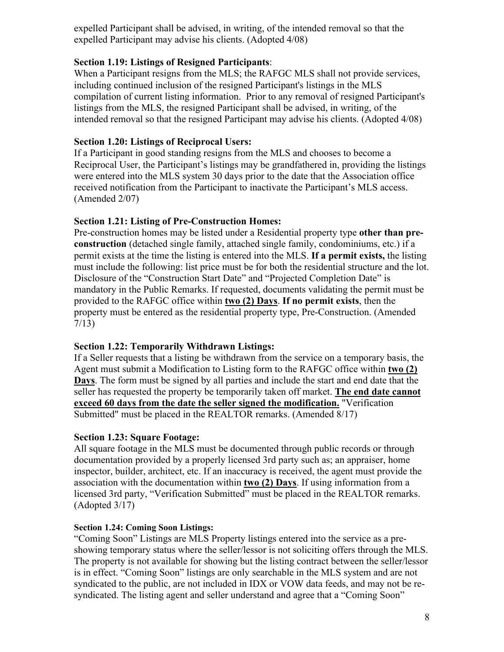expelled Participant shall be advised, in writing, of the intended removal so that the expelled Participant may advise his clients. (Adopted 4/08)

## **Section 1.19: Listings of Resigned Participants**:

When a Participant resigns from the MLS; the RAFGC MLS shall not provide services, including continued inclusion of the resigned Participant's listings in the MLS compilation of current listing information. Prior to any removal of resigned Participant's listings from the MLS, the resigned Participant shall be advised, in writing, of the intended removal so that the resigned Participant may advise his clients. (Adopted 4/08)

## **Section 1.20: Listings of Reciprocal Users:**

If a Participant in good standing resigns from the MLS and chooses to become a Reciprocal User, the Participant's listings may be grandfathered in, providing the listings were entered into the MLS system 30 days prior to the date that the Association office received notification from the Participant to inactivate the Participant's MLS access. (Amended 2/07)

## **Section 1.21: Listing of Pre-Construction Homes:**

Pre-construction homes may be listed under a Residential property type **other than preconstruction** (detached single family, attached single family, condominiums, etc.) if a permit exists at the time the listing is entered into the MLS. **If a permit exists,** the listing must include the following: list price must be for both the residential structure and the lot. Disclosure of the "Construction Start Date" and "Projected Completion Date" is mandatory in the Public Remarks. If requested, documents validating the permit must be provided to the RAFGC office within **two (2) Days**. **If no permit exists**, then the property must be entered as the residential property type, Pre-Construction. (Amended 7/13)

## **Section 1.22: Temporarily Withdrawn Listings:**

If a Seller requests that a listing be withdrawn from the service on a temporary basis, the Agent must submit a Modification to Listing form to the RAFGC office within **two (2) Days**. The form must be signed by all parties and include the start and end date that the seller has requested the property be temporarily taken off market. **The end date cannot exceed 60 days from the date the seller signed the modification.** "Verification Submitted" must be placed in the REALTOR remarks. (Amended 8/17)

#### **Section 1.23: Square Footage:**

All square footage in the MLS must be documented through public records or through documentation provided by a properly licensed 3rd party such as; an appraiser, home inspector, builder, architect, etc. If an inaccuracy is received, the agent must provide the association with the documentation within **two (2) Days**. If using information from a licensed 3rd party, "Verification Submitted" must be placed in the REALTOR remarks. (Adopted 3/17)

#### **Section 1.24: Coming Soon Listings:**

"Coming Soon" Listings are MLS Property listings entered into the service as a preshowing temporary status where the seller/lessor is not soliciting offers through the MLS. The property is not available for showing but the listing contract between the seller/lessor is in effect. "Coming Soon" listings are only searchable in the MLS system and are not syndicated to the public, are not included in IDX or VOW data feeds, and may not be resyndicated. The listing agent and seller understand and agree that a "Coming Soon"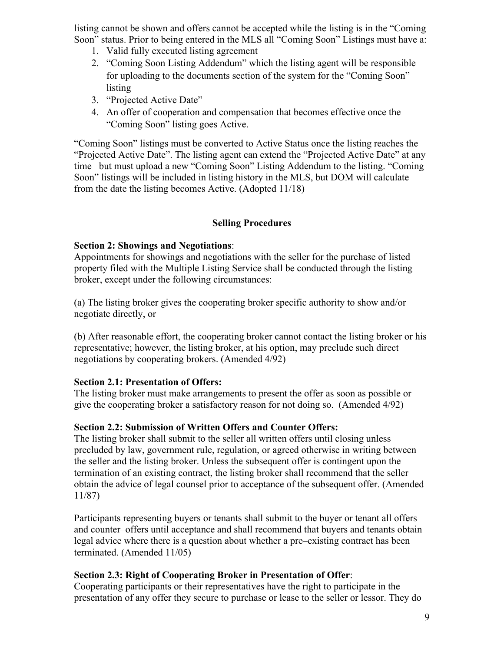listing cannot be shown and offers cannot be accepted while the listing is in the "Coming Soon" status. Prior to being entered in the MLS all "Coming Soon" Listings must have a:

- 1. Valid fully executed listing agreement
- 2. "Coming Soon Listing Addendum" which the listing agent will be responsible for uploading to the documents section of the system for the "Coming Soon" listing
- 3. "Projected Active Date"
- 4. An offer of cooperation and compensation that becomes effective once the "Coming Soon" listing goes Active.

"Coming Soon" listings must be converted to Active Status once the listing reaches the "Projected Active Date". The listing agent can extend the "Projected Active Date" at any time but must upload a new "Coming Soon" Listing Addendum to the listing. "Coming Soon" listings will be included in listing history in the MLS, but DOM will calculate from the date the listing becomes Active. (Adopted 11/18)

## **Selling Procedures**

## **Section 2: Showings and Negotiations**:

Appointments for showings and negotiations with the seller for the purchase of listed property filed with the Multiple Listing Service shall be conducted through the listing broker, except under the following circumstances:

(a) The listing broker gives the cooperating broker specific authority to show and/or negotiate directly, or

(b) After reasonable effort, the cooperating broker cannot contact the listing broker or his representative; however, the listing broker, at his option, may preclude such direct negotiations by cooperating brokers. (Amended 4/92)

## **Section 2.1: Presentation of Offers:**

The listing broker must make arrangements to present the offer as soon as possible or give the cooperating broker a satisfactory reason for not doing so. (Amended 4/92)

## **Section 2.2: Submission of Written Offers and Counter Offers:**

The listing broker shall submit to the seller all written offers until closing unless precluded by law, government rule, regulation, or agreed otherwise in writing between the seller and the listing broker. Unless the subsequent offer is contingent upon the termination of an existing contract, the listing broker shall recommend that the seller obtain the advice of legal counsel prior to acceptance of the subsequent offer. (Amended 11/87)

Participants representing buyers or tenants shall submit to the buyer or tenant all offers and counter–offers until acceptance and shall recommend that buyers and tenants obtain legal advice where there is a question about whether a pre–existing contract has been terminated. (Amended 11/05)

## **Section 2.3: Right of Cooperating Broker in Presentation of Offer**:

Cooperating participants or their representatives have the right to participate in the presentation of any offer they secure to purchase or lease to the seller or lessor. They do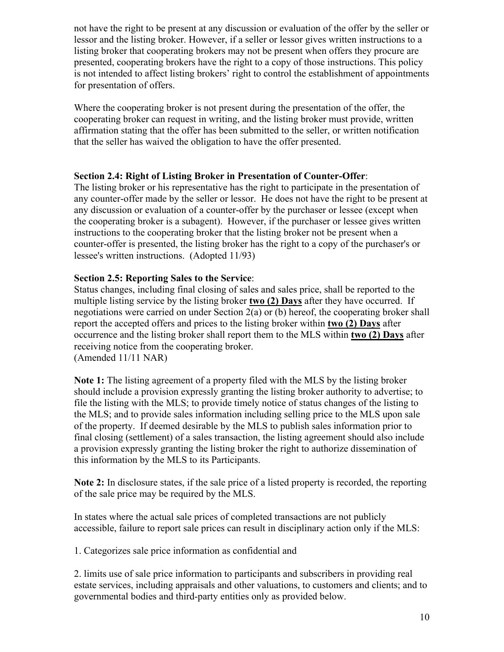not have the right to be present at any discussion or evaluation of the offer by the seller or lessor and the listing broker. However, if a seller or lessor gives written instructions to a listing broker that cooperating brokers may not be present when offers they procure are presented, cooperating brokers have the right to a copy of those instructions. This policy is not intended to affect listing brokers' right to control the establishment of appointments for presentation of offers.

Where the cooperating broker is not present during the presentation of the offer, the cooperating broker can request in writing, and the listing broker must provide, written affirmation stating that the offer has been submitted to the seller, or written notification that the seller has waived the obligation to have the offer presented.

## **Section 2.4: Right of Listing Broker in Presentation of Counter-Offer**:

The listing broker or his representative has the right to participate in the presentation of any counter-offer made by the seller or lessor. He does not have the right to be present at any discussion or evaluation of a counter-offer by the purchaser or lessee (except when the cooperating broker is a subagent). However, if the purchaser or lessee gives written instructions to the cooperating broker that the listing broker not be present when a counter-offer is presented, the listing broker has the right to a copy of the purchaser's or lessee's written instructions. (Adopted 11/93)

# **Section 2.5: Reporting Sales to the Service**:

Status changes, including final closing of sales and sales price, shall be reported to the multiple listing service by the listing broker **two (2) Days** after they have occurred. If negotiations were carried on under Section 2(a) or (b) hereof, the cooperating broker shall report the accepted offers and prices to the listing broker within **two (2) Days** after occurrence and the listing broker shall report them to the MLS within **two (2) Days** after receiving notice from the cooperating broker. (Amended 11/11 NAR)

**Note 1:** The listing agreement of a property filed with the MLS by the listing broker should include a provision expressly granting the listing broker authority to advertise; to file the listing with the MLS; to provide timely notice of status changes of the listing to the MLS; and to provide sales information including selling price to the MLS upon sale of the property. If deemed desirable by the MLS to publish sales information prior to final closing (settlement) of a sales transaction, the listing agreement should also include a provision expressly granting the listing broker the right to authorize dissemination of this information by the MLS to its Participants.

**Note 2:** In disclosure states, if the sale price of a listed property is recorded, the reporting of the sale price may be required by the MLS.

In states where the actual sale prices of completed transactions are not publicly accessible, failure to report sale prices can result in disciplinary action only if the MLS:

1. Categorizes sale price information as confidential and

2. limits use of sale price information to participants and subscribers in providing real estate services, including appraisals and other valuations, to customers and clients; and to governmental bodies and third-party entities only as provided below.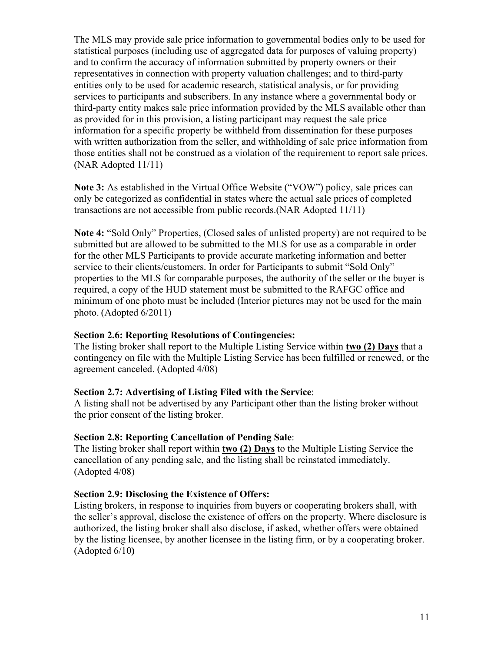The MLS may provide sale price information to governmental bodies only to be used for statistical purposes (including use of aggregated data for purposes of valuing property) and to confirm the accuracy of information submitted by property owners or their representatives in connection with property valuation challenges; and to third-party entities only to be used for academic research, statistical analysis, or for providing services to participants and subscribers. In any instance where a governmental body or third-party entity makes sale price information provided by the MLS available other than as provided for in this provision, a listing participant may request the sale price information for a specific property be withheld from dissemination for these purposes with written authorization from the seller, and withholding of sale price information from those entities shall not be construed as a violation of the requirement to report sale prices. (NAR Adopted 11/11)

**Note 3:** As established in the Virtual Office Website ("VOW") policy, sale prices can only be categorized as confidential in states where the actual sale prices of completed transactions are not accessible from public records.(NAR Adopted 11/11)

**Note 4:** "Sold Only" Properties, (Closed sales of unlisted property) are not required to be submitted but are allowed to be submitted to the MLS for use as a comparable in order for the other MLS Participants to provide accurate marketing information and better service to their clients/customers. In order for Participants to submit "Sold Only" properties to the MLS for comparable purposes, the authority of the seller or the buyer is required, a copy of the HUD statement must be submitted to the RAFGC office and minimum of one photo must be included (Interior pictures may not be used for the main photo. (Adopted 6/2011)

#### **Section 2.6: Reporting Resolutions of Contingencies:**

The listing broker shall report to the Multiple Listing Service within **two (2) Days** that a contingency on file with the Multiple Listing Service has been fulfilled or renewed, or the agreement canceled. (Adopted 4/08)

#### **Section 2.7: Advertising of Listing Filed with the Service**:

A listing shall not be advertised by any Participant other than the listing broker without the prior consent of the listing broker.

#### **Section 2.8: Reporting Cancellation of Pending Sale**:

The listing broker shall report within **two (2) Days** to the Multiple Listing Service the cancellation of any pending sale, and the listing shall be reinstated immediately. (Adopted 4/08)

#### **Section 2.9: Disclosing the Existence of Offers:**

Listing brokers, in response to inquiries from buyers or cooperating brokers shall, with the seller's approval, disclose the existence of offers on the property. Where disclosure is authorized, the listing broker shall also disclose, if asked, whether offers were obtained by the listing licensee, by another licensee in the listing firm, or by a cooperating broker. (Adopted 6/10**)**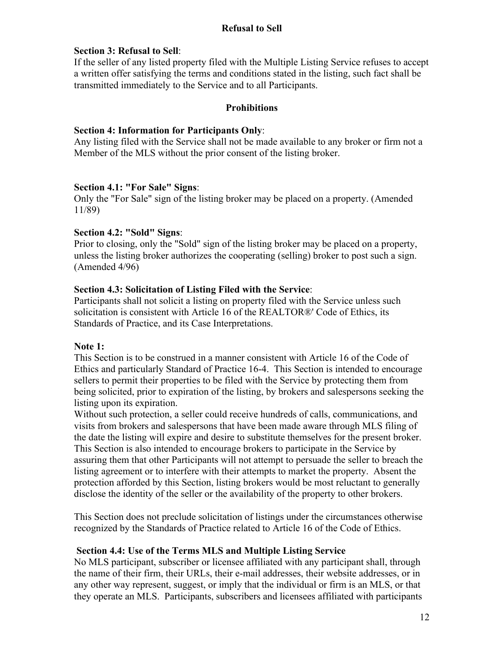## **Refusal to Sell**

## **Section 3: Refusal to Sell**:

If the seller of any listed property filed with the Multiple Listing Service refuses to accept a written offer satisfying the terms and conditions stated in the listing, such fact shall be transmitted immediately to the Service and to all Participants.

#### **Prohibitions**

#### **Section 4: Information for Participants Only**:

Any listing filed with the Service shall not be made available to any broker or firm not a Member of the MLS without the prior consent of the listing broker.

## **Section 4.1: "For Sale" Signs**:

Only the "For Sale" sign of the listing broker may be placed on a property. (Amended 11/89)

## **Section 4.2: "Sold" Signs**:

Prior to closing, only the "Sold" sign of the listing broker may be placed on a property, unless the listing broker authorizes the cooperating (selling) broker to post such a sign. (Amended 4/96)

## **Section 4.3: Solicitation of Listing Filed with the Service**:

Participants shall not solicit a listing on property filed with the Service unless such solicitation is consistent with Article 16 of the REALTOR®' Code of Ethics, its Standards of Practice, and its Case Interpretations.

## **Note 1:**

This Section is to be construed in a manner consistent with Article 16 of the Code of Ethics and particularly Standard of Practice 16-4. This Section is intended to encourage sellers to permit their properties to be filed with the Service by protecting them from being solicited, prior to expiration of the listing, by brokers and salespersons seeking the listing upon its expiration.

Without such protection, a seller could receive hundreds of calls, communications, and visits from brokers and salespersons that have been made aware through MLS filing of the date the listing will expire and desire to substitute themselves for the present broker. This Section is also intended to encourage brokers to participate in the Service by assuring them that other Participants will not attempt to persuade the seller to breach the listing agreement or to interfere with their attempts to market the property. Absent the protection afforded by this Section, listing brokers would be most reluctant to generally disclose the identity of the seller or the availability of the property to other brokers.

This Section does not preclude solicitation of listings under the circumstances otherwise recognized by the Standards of Practice related to Article 16 of the Code of Ethics.

## **Section 4.4: Use of the Terms MLS and Multiple Listing Service**

No MLS participant, subscriber or licensee affiliated with any participant shall, through the name of their firm, their URLs, their e-mail addresses, their website addresses, or in any other way represent, suggest, or imply that the individual or firm is an MLS, or that they operate an MLS. Participants, subscribers and licensees affiliated with participants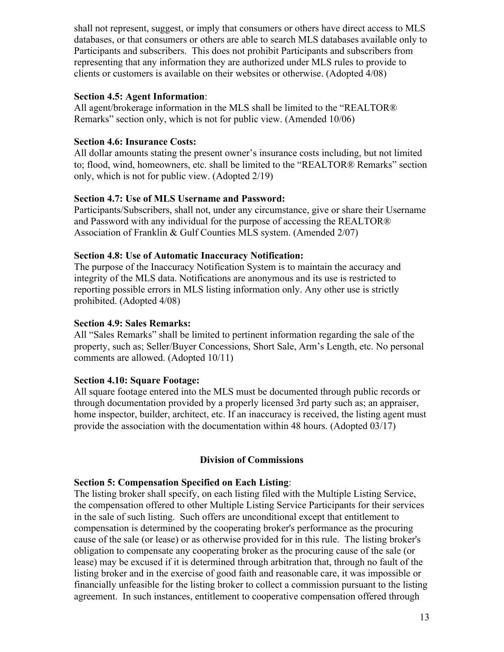shall not represent, suggest, or imply that consumers or others have direct access to MLS databases, or that consumers or others are able to search MLS databases available only to Participants and subscribers. This does not prohibit Participants and subscribers from representing that any information they are authorized under MLS rules to provide to clients or customers is available on their websites or otherwise. (Adopted 4/08)

## **Section 4.5: Agent Information**:

All agent/brokerage information in the MLS shall be limited to the "REALTOR® Remarks" section only, which is not for public view. (Amended 10/06)

## **Section 4.6: Insurance Costs:**

All dollar amounts stating the present owner's insurance costs including, but not limited to; flood, wind, homeowners, etc. shall be limited to the "REALTOR® Remarks" section only, which is not for public view. (Adopted 2/19)

## **Section 4.7: Use of MLS Username and Password:**

Participants/Subscribers, shall not, under any circumstance, give or share their Username and Password with any individual for the purpose of accessing the REALTOR® Association of Franklin & Gulf Counties MLS system. (Amended 2/07)

## **Section 4.8: Use of Automatic Inaccuracy Notification:**

The purpose of the Inaccuracy Notification System is to maintain the accuracy and integrity of the MLS data. Notifications are anonymous and its use is restricted to reporting possible errors in MLS listing information only. Any other use is strictly prohibited. (Adopted 4/08)

## **Section 4.9: Sales Remarks:**

All "Sales Remarks" shall be limited to pertinent information regarding the sale of the property, such as; Seller/Buyer Concessions, Short Sale, Arm's Length, etc. No personal comments are allowed. (Adopted 10/11)

## **Section 4.10: Square Footage:**

All square footage entered into the MLS must be documented through public records or through documentation provided by a properly licensed 3rd party such as; an appraiser, home inspector, builder, architect, etc. If an inaccuracy is received, the listing agent must provide the association with the documentation within 48 hours. (Adopted 03/17)

# **Division of Commissions**

## **Section 5: Compensation Specified on Each Listing**:

The listing broker shall specify, on each listing filed with the Multiple Listing Service, the compensation offered to other Multiple Listing Service Participants for their services in the sale of such listing. Such offers are unconditional except that entitlement to compensation is determined by the cooperating broker's performance as the procuring cause of the sale (or lease) or as otherwise provided for in this rule. The listing broker's obligation to compensate any cooperating broker as the procuring cause of the sale (or lease) may be excused if it is determined through arbitration that, through no fault of the listing broker and in the exercise of good faith and reasonable care, it was impossible or financially unfeasible for the listing broker to collect a commission pursuant to the listing agreement. In such instances, entitlement to cooperative compensation offered through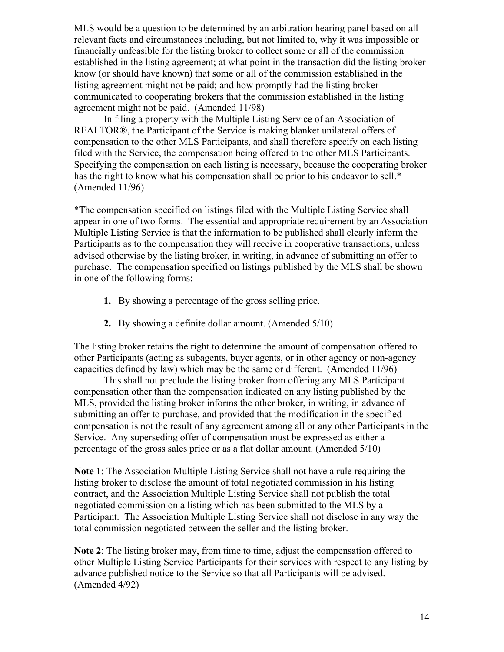MLS would be a question to be determined by an arbitration hearing panel based on all relevant facts and circumstances including, but not limited to, why it was impossible or financially unfeasible for the listing broker to collect some or all of the commission established in the listing agreement; at what point in the transaction did the listing broker know (or should have known) that some or all of the commission established in the listing agreement might not be paid; and how promptly had the listing broker communicated to cooperating brokers that the commission established in the listing agreement might not be paid. (Amended 11/98)

 filed with the Service, the compensation being offered to the other MLS Participants. In filing a property with the Multiple Listing Service of an Association of REALTOR®, the Participant of the Service is making blanket unilateral offers of compensation to the other MLS Participants, and shall therefore specify on each listing Specifying the compensation on each listing is necessary, because the cooperating broker has the right to know what his compensation shall be prior to his endeavor to sell.\* (Amended 11/96)

\*The compensation specified on listings filed with the Multiple Listing Service shall appear in one of two forms. The essential and appropriate requirement by an Association Multiple Listing Service is that the information to be published shall clearly inform the Participants as to the compensation they will receive in cooperative transactions, unless advised otherwise by the listing broker, in writing, in advance of submitting an offer to purchase. The compensation specified on listings published by the MLS shall be shown in one of the following forms:

- **1.** By showing a percentage of the gross selling price.
- **2.** By showing a definite dollar amount. (Amended 5/10)

The listing broker retains the right to determine the amount of compensation offered to other Participants (acting as subagents, buyer agents, or in other agency or non-agency capacities defined by law) which may be the same or different. (Amended 11/96)

This shall not preclude the listing broker from offering any MLS Participant compensation other than the compensation indicated on any listing published by the MLS, provided the listing broker informs the other broker, in writing, in advance of submitting an offer to purchase, and provided that the modification in the specified compensation is not the result of any agreement among all or any other Participants in the Service. Any superseding offer of compensation must be expressed as either a percentage of the gross sales price or as a flat dollar amount. (Amended 5/10)

**Note 1**: The Association Multiple Listing Service shall not have a rule requiring the listing broker to disclose the amount of total negotiated commission in his listing contract, and the Association Multiple Listing Service shall not publish the total negotiated commission on a listing which has been submitted to the MLS by a Participant. The Association Multiple Listing Service shall not disclose in any way the total commission negotiated between the seller and the listing broker.

**Note 2**: The listing broker may, from time to time, adjust the compensation offered to other Multiple Listing Service Participants for their services with respect to any listing by advance published notice to the Service so that all Participants will be advised. (Amended 4/92)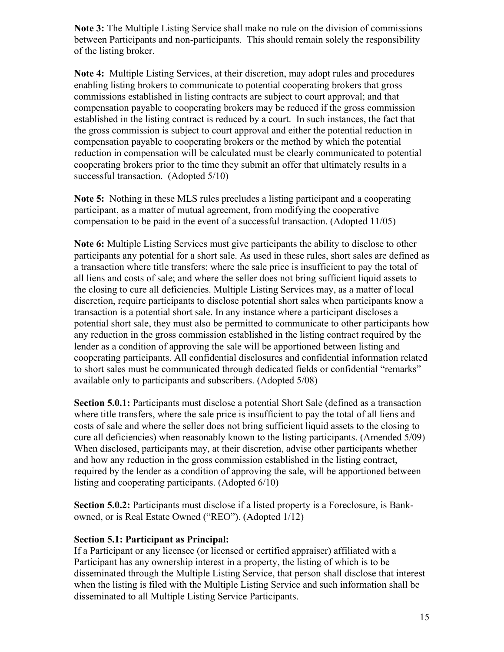**Note 3:** The Multiple Listing Service shall make no rule on the division of commissions between Participants and non-participants. This should remain solely the responsibility of the listing broker.

**Note 4:** Multiple Listing Services, at their discretion, may adopt rules and procedures enabling listing brokers to communicate to potential cooperating brokers that gross commissions established in listing contracts are subject to court approval; and that compensation payable to cooperating brokers may be reduced if the gross commission established in the listing contract is reduced by a court. In such instances, the fact that the gross commission is subject to court approval and either the potential reduction in compensation payable to cooperating brokers or the method by which the potential reduction in compensation will be calculated must be clearly communicated to potential cooperating brokers prior to the time they submit an offer that ultimately results in a successful transaction. (Adopted 5/10)

**Note 5:** Nothing in these MLS rules precludes a listing participant and a cooperating participant, as a matter of mutual agreement, from modifying the cooperative compensation to be paid in the event of a successful transaction. (Adopted 11/05)

**Note 6:** Multiple Listing Services must give participants the ability to disclose to other participants any potential for a short sale. As used in these rules, short sales are defined as a transaction where title transfers; where the sale price is insufficient to pay the total of all liens and costs of sale; and where the seller does not bring sufficient liquid assets to the closing to cure all deficiencies. Multiple Listing Services may, as a matter of local discretion, require participants to disclose potential short sales when participants know a transaction is a potential short sale. In any instance where a participant discloses a potential short sale, they must also be permitted to communicate to other participants how any reduction in the gross commission established in the listing contract required by the lender as a condition of approving the sale will be apportioned between listing and cooperating participants. All confidential disclosures and confidential information related to short sales must be communicated through dedicated fields or confidential "remarks" available only to participants and subscribers. (Adopted 5/08)

 where title transfers, where the sale price is insufficient to pay the total of all liens and  cure all deficiencies) when reasonably known to the listing participants. (Amended 5/09) **Section 5.0.1:** Participants must disclose a potential Short Sale (defined as a transaction costs of sale and where the seller does not bring sufficient liquid assets to the closing to When disclosed, participants may, at their discretion, advise other participants whether and how any reduction in the gross commission established in the listing contract, required by the lender as a condition of approving the sale, will be apportioned between listing and cooperating participants. (Adopted 6/10)

**Section 5.0.2:** Participants must disclose if a listed property is a Foreclosure, is Bankowned, or is Real Estate Owned ("REO"). (Adopted 1/12)

## **Section 5.1: Participant as Principal:**

If a Participant or any licensee (or licensed or certified appraiser) affiliated with a Participant has any ownership interest in a property, the listing of which is to be disseminated through the Multiple Listing Service, that person shall disclose that interest when the listing is filed with the Multiple Listing Service and such information shall be disseminated to all Multiple Listing Service Participants.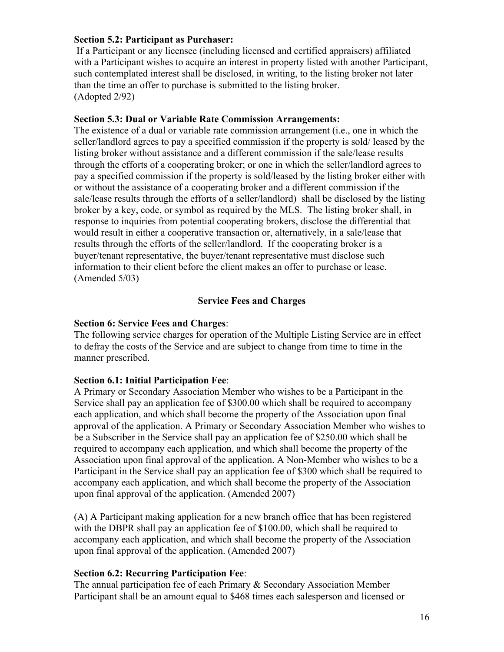## **Section 5.2: Participant as Purchaser:**

 than the time an offer to purchase is submitted to the listing broker. If a Participant or any licensee (including licensed and certified appraisers) affiliated with a Participant wishes to acquire an interest in property listed with another Participant, such contemplated interest shall be disclosed, in writing, to the listing broker not later (Adopted 2/92)

#### **Section 5.3: Dual or Variable Rate Commission Arrangements:**

 information to their client before the client makes an offer to purchase or lease. The existence of a dual or variable rate commission arrangement (i.e., one in which the seller/landlord agrees to pay a specified commission if the property is sold/ leased by the listing broker without assistance and a different commission if the sale/lease results through the efforts of a cooperating broker; or one in which the seller/landlord agrees to pay a specified commission if the property is sold/leased by the listing broker either with or without the assistance of a cooperating broker and a different commission if the sale/lease results through the efforts of a seller/landlord) shall be disclosed by the listing broker by a key, code, or symbol as required by the MLS. The listing broker shall, in response to inquiries from potential cooperating brokers, disclose the differential that would result in either a cooperative transaction or, alternatively, in a sale/lease that results through the efforts of the seller/landlord. If the cooperating broker is a buyer/tenant representative, the buyer/tenant representative must disclose such (Amended 5/03)

## **Service Fees and Charges**

## **Section 6: Service Fees and Charges**:

 to defray the costs of the Service and are subject to change from time to time in the The following service charges for operation of the Multiple Listing Service are in effect manner prescribed.

## **Section 6.1: Initial Participation Fee**:

A Primary or Secondary Association Member who wishes to be a Participant in the Service shall pay an application fee of \$300.00 which shall be required to accompany each application, and which shall become the property of the Association upon final approval of the application. A Primary or Secondary Association Member who wishes to be a Subscriber in the Service shall pay an application fee of \$250.00 which shall be required to accompany each application, and which shall become the property of the Association upon final approval of the application. A Non-Member who wishes to be a Participant in the Service shall pay an application fee of \$300 which shall be required to accompany each application, and which shall become the property of the Association upon final approval of the application. (Amended 2007)

(A) A Participant making application for a new branch office that has been registered with the DBPR shall pay an application fee of \$100.00, which shall be required to accompany each application, and which shall become the property of the Association upon final approval of the application. (Amended 2007)

## **Section 6.2: Recurring Participation Fee**:

The annual participation fee of each Primary & Secondary Association Member Participant shall be an amount equal to \$468 times each salesperson and licensed or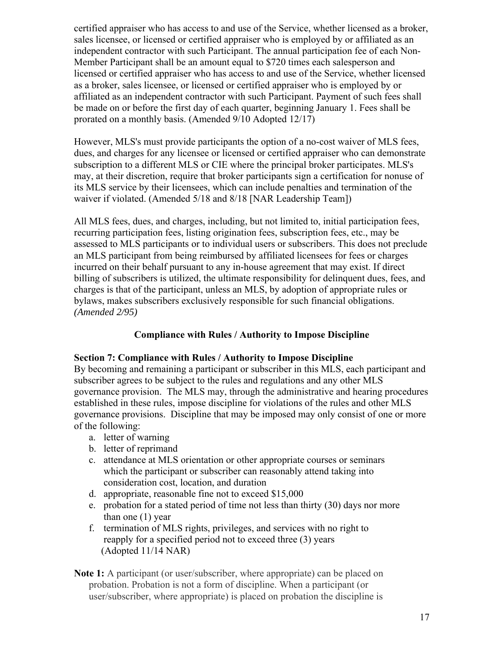certified appraiser who has access to and use of the Service, whether licensed as a broker, sales licensee, or licensed or certified appraiser who is employed by or affiliated as an independent contractor with such Participant. The annual participation fee of each Non-Member Participant shall be an amount equal to \$720 times each salesperson and licensed or certified appraiser who has access to and use of the Service, whether licensed as a broker, sales licensee, or licensed or certified appraiser who is employed by or affiliated as an independent contractor with such Participant. Payment of such fees shall be made on or before the first day of each quarter, beginning January 1. Fees shall be prorated on a monthly basis. (Amended 9/10 Adopted 12/17)

However, MLS's must provide participants the option of a no-cost waiver of MLS fees, dues, and charges for any licensee or licensed or certified appraiser who can demonstrate subscription to a different MLS or CIE where the principal broker participates. MLS's may, at their discretion, require that broker participants sign a certification for nonuse of its MLS service by their licensees, which can include penalties and termination of the waiver if violated. (Amended 5/18 and 8/18 [NAR Leadership Team])

 *(Amended 2/95)* All MLS fees, dues, and charges, including, but not limited to, initial participation fees, recurring participation fees, listing origination fees, subscription fees, etc., may be assessed to MLS participants or to individual users or subscribers. This does not preclude an MLS participant from being reimbursed by affiliated licensees for fees or charges incurred on their behalf pursuant to any in-house agreement that may exist. If direct billing of subscribers is utilized, the ultimate responsibility for delinquent dues, fees, and charges is that of the participant, unless an MLS, by adoption of appropriate rules or bylaws, makes subscribers exclusively responsible for such financial obligations.

## **Compliance with Rules / Authority to Impose Discipline**

#### **Section 7: Compliance with Rules / Authority to Impose Discipline**

By becoming and remaining a participant or subscriber in this MLS, each participant and subscriber agrees to be subject to the rules and regulations and any other MLS governance provision. The MLS may, through the administrative and hearing procedures established in these rules, impose discipline for violations of the rules and other MLS governance provisions. Discipline that may be imposed may only consist of one or more of the following:

- a. letter of warning
- b. letter of reprimand
- c. attendance at MLS orientation or other appropriate courses or seminars which the participant or subscriber can reasonably attend taking into consideration cost, location, and duration
- d. appropriate, reasonable fine not to exceed \$15,000
- e. probation for a stated period of time not less than thirty (30) days nor more than one (1) year
- f. termination of MLS rights, privileges, and services with no right to reapply for a specified period not to exceed three (3) years (Adopted 11/14 NAR)
- **Note 1:** A participant (or user/subscriber, where appropriate) can be placed on probation. Probation is not a form of discipline. When a participant (or user/subscriber, where appropriate) is placed on probation the discipline is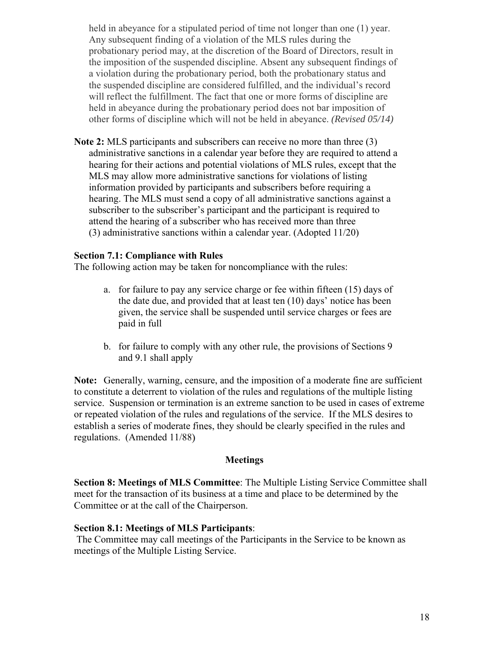held in abeyance for a stipulated period of time not longer than one (1) year. Any subsequent finding of a violation of the MLS rules during the probationary period may, at the discretion of the Board of Directors, result in the imposition of the suspended discipline. Absent any subsequent findings of a violation during the probationary period, both the probationary status and the suspended discipline are considered fulfilled, and the individual's record will reflect the fulfillment. The fact that one or more forms of discipline are held in abeyance during the probationary period does not bar imposition of other forms of discipline which will not be held in abeyance. *(Revised 05/14)* 

**Note 2:** MLS participants and subscribers can receive no more than three (3) administrative sanctions in a calendar year before they are required to attend a hearing for their actions and potential violations of MLS rules, except that the MLS may allow more administrative sanctions for violations of listing information provided by participants and subscribers before requiring a hearing. The MLS must send a copy of all administrative sanctions against a subscriber to the subscriber's participant and the participant is required to attend the hearing of a subscriber who has received more than three (3) administrative sanctions within a calendar year. (Adopted 11/20)

#### **Section 7.1: Compliance with Rules**

The following action may be taken for noncompliance with the rules:

- given, the service shall be suspended until service charges or fees are a. for failure to pay any service charge or fee within fifteen (15) days of the date due, and provided that at least ten (10) days' notice has been paid in full
- b. for failure to comply with any other rule, the provisions of Sections 9 and 9.1 shall apply

**Note:** Generally, warning, censure, and the imposition of a moderate fine are sufficient to constitute a deterrent to violation of the rules and regulations of the multiple listing service. Suspension or termination is an extreme sanction to be used in cases of extreme or repeated violation of the rules and regulations of the service. If the MLS desires to establish a series of moderate fines, they should be clearly specified in the rules and regulations. (Amended 11/88)

#### **Meetings**

**Section 8: Meetings of MLS Committee**: The Multiple Listing Service Committee shall meet for the transaction of its business at a time and place to be determined by the Committee or at the call of the Chairperson.

#### **Section 8.1: Meetings of MLS Participants**:

 The Committee may call meetings of the Participants in the Service to be known as meetings of the Multiple Listing Service.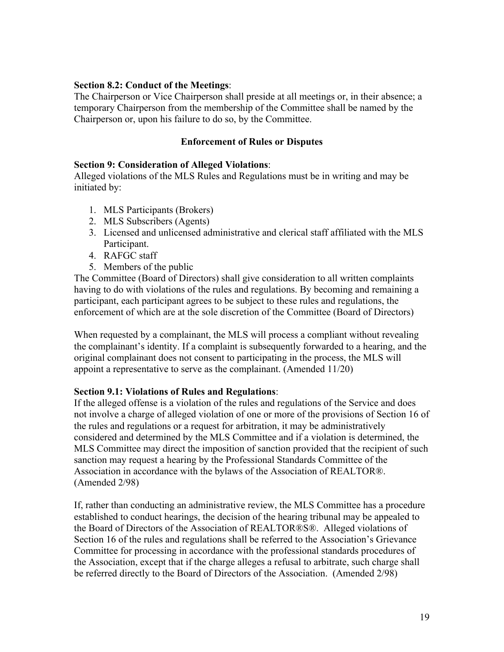#### **Section 8.2: Conduct of the Meetings**:

The Chairperson or Vice Chairperson shall preside at all meetings or, in their absence; a temporary Chairperson from the membership of the Committee shall be named by the Chairperson or, upon his failure to do so, by the Committee.

## **Enforcement of Rules or Disputes**

## **Section 9: Consideration of Alleged Violations**:

Alleged violations of the MLS Rules and Regulations must be in writing and may be initiated by:

- 1. MLS Participants (Brokers)
- 2. MLS Subscribers (Agents)
- 3. Licensed and unlicensed administrative and clerical staff affiliated with the MLS Participant.
- 4. RAFGC staff
- 5. Members of the public

The Committee (Board of Directors) shall give consideration to all written complaints having to do with violations of the rules and regulations. By becoming and remaining a participant, each participant agrees to be subject to these rules and regulations, the enforcement of which are at the sole discretion of the Committee (Board of Directors)

When requested by a complainant, the MLS will process a compliant without revealing the complainant's identity. If a complaint is subsequently forwarded to a hearing, and the original complainant does not consent to participating in the process, the MLS will appoint a representative to serve as the complainant. (Amended 11/20)

## **Section 9.1: Violations of Rules and Regulations**:

If the alleged offense is a violation of the rules and regulations of the Service and does not involve a charge of alleged violation of one or more of the provisions of Section 16 of the rules and regulations or a request for arbitration, it may be administratively considered and determined by the MLS Committee and if a violation is determined, the MLS Committee may direct the imposition of sanction provided that the recipient of such sanction may request a hearing by the Professional Standards Committee of the Association in accordance with the bylaws of the Association of REALTOR®. (Amended 2/98)

If, rather than conducting an administrative review, the MLS Committee has a procedure established to conduct hearings, the decision of the hearing tribunal may be appealed to the Board of Directors of the Association of REALTOR®S®. Alleged violations of Section 16 of the rules and regulations shall be referred to the Association's Grievance Committee for processing in accordance with the professional standards procedures of the Association, except that if the charge alleges a refusal to arbitrate, such charge shall be referred directly to the Board of Directors of the Association. (Amended 2/98)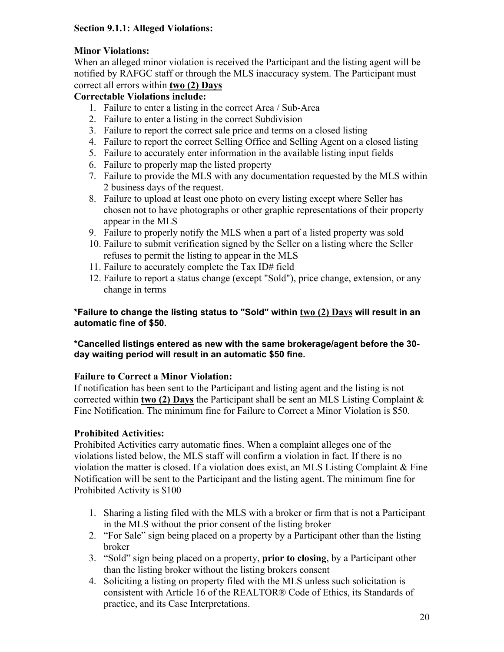## **Section 9.1.1: Alleged Violations:**

# **Minor Violations:**

 correct all errors within **two (2) Days** When an alleged minor violation is received the Participant and the listing agent will be notified by RAFGC staff or through the MLS inaccuracy system. The Participant must

## **Correctable Violations include:**

- 1. Failure to enter a listing in the correct Area / Sub-Area
- 2. Failure to enter a listing in the correct Subdivision
- 3. Failure to report the correct sale price and terms on a closed listing
- 4. Failure to report the correct Selling Office and Selling Agent on a closed listing
- 5. Failure to accurately enter information in the available listing input fields
- 6. Failure to properly map the listed property
- 7. Failure to provide the MLS with any documentation requested by the MLS within 2 business days of the request.
- 8. Failure to upload at least one photo on every listing except where Seller has chosen not to have photographs or other graphic representations of their property appear in the MLS
- 9. Failure to properly notify the MLS when a part of a listed property was sold
- 10. Failure to submit verification signed by the Seller on a listing where the Seller refuses to permit the listing to appear in the MLS
- 11. Failure to accurately complete the Tax ID# field
- 12. Failure to report a status change (except "Sold"), price change, extension, or any change in terms

## **\*Failure to change the listing status to "Sold" within two (2) Days will result in an automatic fine of \$50.**

## **\*Cancelled listings entered as new with the same brokerage/agent before the 30 day waiting period will result in an automatic \$50 fine.**

# **Failure to Correct a Minor Violation:**

If notification has been sent to the Participant and listing agent and the listing is not corrected within **two (2) Days** the Participant shall be sent an MLS Listing Complaint & Fine Notification. The minimum fine for Failure to Correct a Minor Violation is \$50.

# **Prohibited Activities:**

Prohibited Activities carry automatic fines. When a complaint alleges one of the violations listed below, the MLS staff will confirm a violation in fact. If there is no violation the matter is closed. If a violation does exist, an MLS Listing Complaint & Fine Notification will be sent to the Participant and the listing agent. The minimum fine for Prohibited Activity is \$100

- 1. Sharing a listing filed with the MLS with a broker or firm that is not a Participant in the MLS without the prior consent of the listing broker
- 2. "For Sale" sign being placed on a property by a Participant other than the listing broker
- 3. "Sold" sign being placed on a property, **prior to closing**, by a Participant other than the listing broker without the listing brokers consent
- 4. Soliciting a listing on property filed with the MLS unless such solicitation is consistent with Article 16 of the REALTOR® Code of Ethics, its Standards of practice, and its Case Interpretations.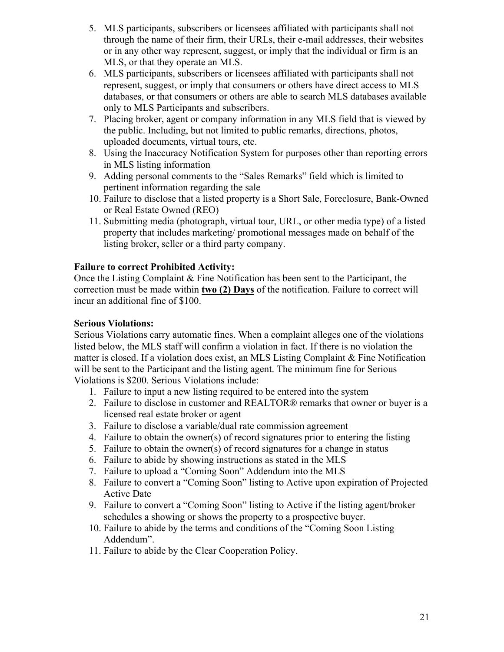- 5. MLS participants, subscribers or licensees affiliated with participants shall not through the name of their firm, their URLs, their e-mail addresses, their websites or in any other way represent, suggest, or imply that the individual or firm is an MLS, or that they operate an MLS.
- 6. MLS participants, subscribers or licensees affiliated with participants shall not represent, suggest, or imply that consumers or others have direct access to MLS databases, or that consumers or others are able to search MLS databases available only to MLS Participants and subscribers.
- 7. Placing broker, agent or company information in any MLS field that is viewed by the public. Including, but not limited to public remarks, directions, photos, uploaded documents, virtual tours, etc.
- 8. Using the Inaccuracy Notification System for purposes other than reporting errors in MLS listing information
- 9. Adding personal comments to the "Sales Remarks" field which is limited to pertinent information regarding the sale
- 10. Failure to disclose that a listed property is a Short Sale, Foreclosure, Bank-Owned or Real Estate Owned (REO)
- 11. Submitting media (photograph, virtual tour, URL, or other media type) of a listed property that includes marketing/ promotional messages made on behalf of the listing broker, seller or a third party company.

## **Failure to correct Prohibited Activity:**

Once the Listing Complaint & Fine Notification has been sent to the Participant, the correction must be made within **two (2) Days** of the notification. Failure to correct will incur an additional fine of \$100.

## **Serious Violations:**

Serious Violations carry automatic fines. When a complaint alleges one of the violations listed below, the MLS staff will confirm a violation in fact. If there is no violation the matter is closed. If a violation does exist, an MLS Listing Complaint & Fine Notification will be sent to the Participant and the listing agent. The minimum fine for Serious Violations is \$200. Serious Violations include:

- 1. Failure to input a new listing required to be entered into the system
- 2. Failure to disclose in customer and REALTOR® remarks that owner or buyer is a licensed real estate broker or agent
- 3. Failure to disclose a variable/dual rate commission agreement
- 4. Failure to obtain the owner(s) of record signatures prior to entering the listing
- 5. Failure to obtain the owner(s) of record signatures for a change in status
- 6. Failure to abide by showing instructions as stated in the MLS
- 7. Failure to upload a "Coming Soon" Addendum into the MLS
- 8. Failure to convert a "Coming Soon" listing to Active upon expiration of Projected Active Date
- 9. Failure to convert a "Coming Soon" listing to Active if the listing agent/broker schedules a showing or shows the property to a prospective buyer.
- 10. Failure to abide by the terms and conditions of the "Coming Soon Listing Addendum".
- 11. Failure to abide by the Clear Cooperation Policy.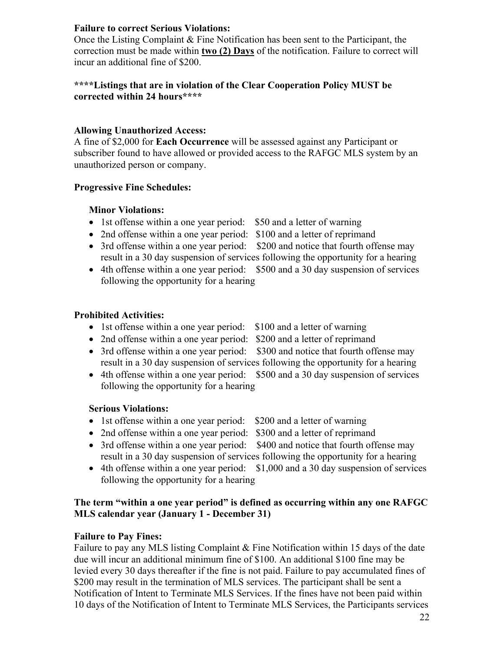## **Failure to correct Serious Violations:**

Once the Listing Complaint & Fine Notification has been sent to the Participant, the correction must be made within **two (2) Days** of the notification. Failure to correct will incur an additional fine of \$200.

#### **\*\*\*\*Listings that are in violation of the Clear Cooperation Policy MUST be corrected within 24 hours\*\*\*\***

## **Allowing Unauthorized Access:**

A fine of \$2,000 for **Each Occurrence** will be assessed against any Participant or subscriber found to have allowed or provided access to the RAFGC MLS system by an unauthorized person or company.

## **Progressive Fine Schedules:**

#### **Minor Violations:**

- 1st offense within a one year period: \$50 and a letter of warning
- 2nd offense within a one year period: \$100 and a letter of reprimand
- 3rd offense within a one year period: \$200 and notice that fourth offense may result in a 30 day suspension of services following the opportunity for a hearing
- 4th offense within a one year period: \$500 and a 30 day suspension of services following the opportunity for a hearing

## **Prohibited Activities:**

- 1st offense within a one year period: \$100 and a letter of warning
- 2nd offense within a one year period: \$200 and a letter of reprimand
- -
- 3rd offense within a one year period: \$300 and notice that fourth offense may result in a 30 day suspension of services following the opportunity for a hearing
- 4th offense within a one year period: \$500 and a 30 day suspension of services following the opportunity for a hearing

## **Serious Violations:**

- 1st offense within a one year period: \$200 and a letter of warning
- 2nd offense within a one year period: \$300 and a letter of reprimand
- 3rd offense within a one year period: \$400 and notice that fourth offense may result in a 30 day suspension of services following the opportunity for a hearing
- 4th offense within a one year period: \$1,000 and a 30 day suspension of services following the opportunity for a hearing

## **The term "within a one year period" is defined as occurring within any one RAFGC MLS calendar year (January 1 - December 31)**

## **Failure to Pay Fines:**

Failure to pay any MLS listing Complaint & Fine Notification within 15 days of the date due will incur an additional minimum fine of \$100. An additional \$100 fine may be levied every 30 days thereafter if the fine is not paid. Failure to pay accumulated fines of \$200 may result in the termination of MLS services. The participant shall be sent a Notification of Intent to Terminate MLS Services. If the fines have not been paid within 10 days of the Notification of Intent to Terminate MLS Services, the Participants services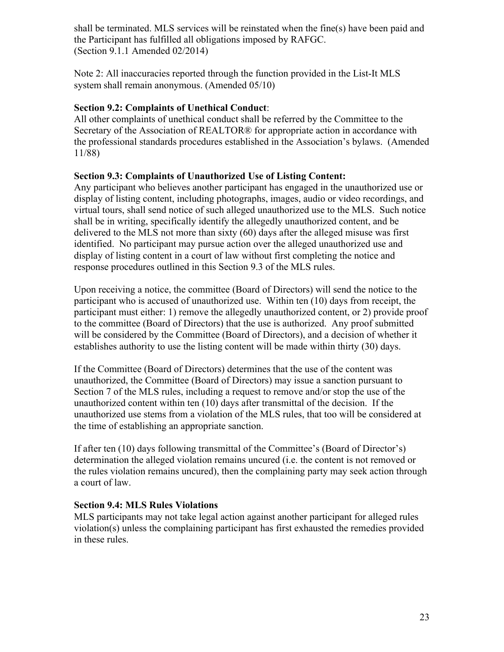shall be terminated. MLS services will be reinstated when the fine(s) have been paid and the Participant has fulfilled all obligations imposed by RAFGC. (Section 9.1.1 Amended 02/2014)

Note 2: All inaccuracies reported through the function provided in the List-It MLS system shall remain anonymous. (Amended 05/10)

## **Section 9.2: Complaints of Unethical Conduct**:

All other complaints of unethical conduct shall be referred by the Committee to the Secretary of the Association of REALTOR® for appropriate action in accordance with the professional standards procedures established in the Association's bylaws. (Amended 11/88)

## **Section 9.3: Complaints of Unauthorized Use of Listing Content:**

 delivered to the MLS not more than sixty (60) days after the alleged misuse was first Any participant who believes another participant has engaged in the unauthorized use or display of listing content, including photographs, images, audio or video recordings, and virtual tours, shall send notice of such alleged unauthorized use to the MLS. Such notice shall be in writing, specifically identify the allegedly unauthorized content, and be identified. No participant may pursue action over the alleged unauthorized use and display of listing content in a court of law without first completing the notice and response procedures outlined in this Section 9.3 of the MLS rules.

 establishes authority to use the listing content will be made within thirty (30) days. Upon receiving a notice, the committee (Board of Directors) will send the notice to the participant who is accused of unauthorized use. Within ten (10) days from receipt, the participant must either: 1) remove the allegedly unauthorized content, or 2) provide proof to the committee (Board of Directors) that the use is authorized. Any proof submitted will be considered by the Committee (Board of Directors), and a decision of whether it

If the Committee (Board of Directors) determines that the use of the content was unauthorized, the Committee (Board of Directors) may issue a sanction pursuant to Section 7 of the MLS rules, including a request to remove and/or stop the use of the unauthorized content within ten (10) days after transmittal of the decision. If the unauthorized use stems from a violation of the MLS rules, that too will be considered at the time of establishing an appropriate sanction.

If after ten (10) days following transmittal of the Committee's (Board of Director's) determination the alleged violation remains uncured (i.e. the content is not removed or the rules violation remains uncured), then the complaining party may seek action through a court of law.

# **Section 9.4: MLS Rules Violations**

MLS participants may not take legal action against another participant for alleged rules violation(s) unless the complaining participant has first exhausted the remedies provided in these rules.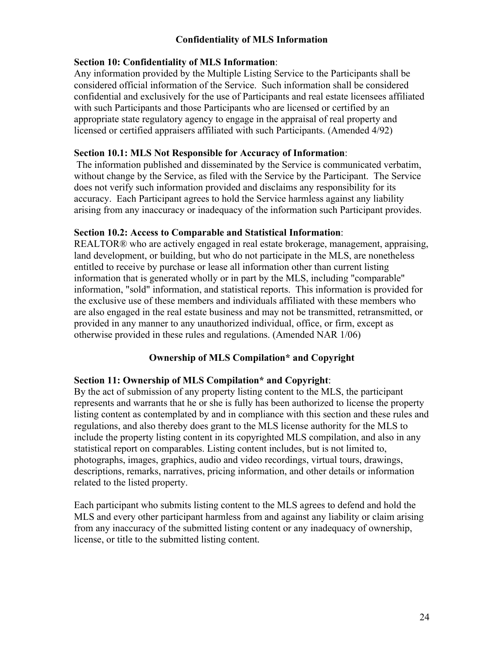## **Confidentiality of MLS Information**

#### **Section 10: Confidentiality of MLS Information**:

Any information provided by the Multiple Listing Service to the Participants shall be considered official information of the Service. Such information shall be considered confidential and exclusively for the use of Participants and real estate licensees affiliated with such Participants and those Participants who are licensed or certified by an appropriate state regulatory agency to engage in the appraisal of real property and licensed or certified appraisers affiliated with such Participants. (Amended 4/92)

#### **Section 10.1: MLS Not Responsible for Accuracy of Information**:

 The information published and disseminated by the Service is communicated verbatim, without change by the Service, as filed with the Service by the Participant. The Service does not verify such information provided and disclaims any responsibility for its accuracy. Each Participant agrees to hold the Service harmless against any liability arising from any inaccuracy or inadequacy of the information such Participant provides.

#### **Section 10.2: Access to Comparable and Statistical Information**:

REALTOR® who are actively engaged in real estate brokerage, management, appraising, land development, or building, but who do not participate in the MLS, are nonetheless entitled to receive by purchase or lease all information other than current listing information that is generated wholly or in part by the MLS, including "comparable" information, "sold" information, and statistical reports. This information is provided for the exclusive use of these members and individuals affiliated with these members who are also engaged in the real estate business and may not be transmitted, retransmitted, or provided in any manner to any unauthorized individual, office, or firm, except as otherwise provided in these rules and regulations. (Amended NAR 1/06)

#### **Ownership of MLS Compilation\* and Copyright**

#### **Section 11: Ownership of MLS Compilation\* and Copyright**:

By the act of submission of any property listing content to the MLS, the participant represents and warrants that he or she is fully has been authorized to license the property listing content as contemplated by and in compliance with this section and these rules and regulations, and also thereby does grant to the MLS license authority for the MLS to include the property listing content in its copyrighted MLS compilation, and also in any statistical report on comparables. Listing content includes, but is not limited to, photographs, images, graphics, audio and video recordings, virtual tours, drawings, descriptions, remarks, narratives, pricing information, and other details or information related to the listed property.

Each participant who submits listing content to the MLS agrees to defend and hold the MLS and every other participant harmless from and against any liability or claim arising from any inaccuracy of the submitted listing content or any inadequacy of ownership, license, or title to the submitted listing content*.*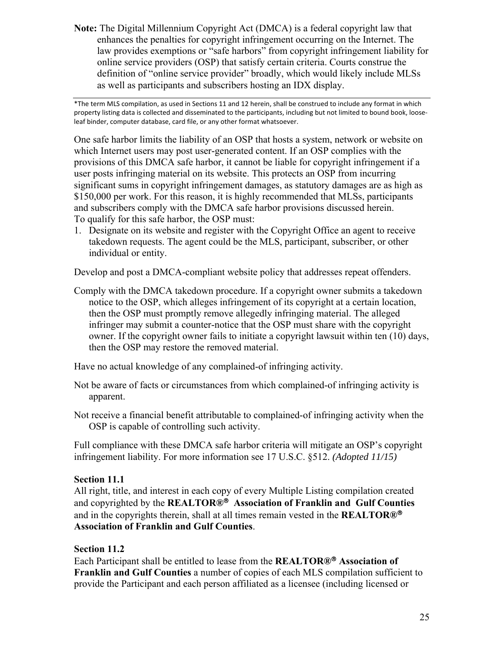as well as participants and subscribers hosting an IDX display. **Note:** The Digital Millennium Copyright Act (DMCA) is a federal copyright law that enhances the penalties for copyright infringement occurring on the Internet. The law provides exemptions or "safe harbors" from copyright infringement liability for online service providers (OSP) that satisfy certain criteria. Courts construe the definition of "online service provider" broadly, which would likely include MLSs

\*The term MLS compilation, as used in Sections 11 and 12 herein, shall be construed to include any format in which property listing data is collected and disseminated to the participants, including but not limited to bound book, looseleaf binder, computer database, card file, or any other format whatsoever.

One safe harbor limits the liability of an OSP that hosts a system, network or website on which Internet users may post user-generated content. If an OSP complies with the provisions of this DMCA safe harbor, it cannot be liable for copyright infringement if a user posts infringing material on its website. This protects an OSP from incurring significant sums in copyright infringement damages, as statutory damages are as high as \$150,000 per work. For this reason, it is highly recommended that MLSs, participants and subscribers comply with the DMCA safe harbor provisions discussed herein. To qualify for this safe harbor, the OSP must:

1. Designate on its website and register with the Copyright Office an agent to receive takedown requests. The agent could be the MLS, participant, subscriber, or other individual or entity.

Develop and post a DMCA-compliant website policy that addresses repeat offenders.

Comply with the DMCA takedown procedure. If a copyright owner submits a takedown notice to the OSP, which alleges infringement of its copyright at a certain location, then the OSP must promptly remove allegedly infringing material. The alleged infringer may submit a counter-notice that the OSP must share with the copyright owner. If the copyright owner fails to initiate a copyright lawsuit within ten (10) days, then the OSP may restore the removed material.

Have no actual knowledge of any complained-of infringing activity.

- Not be aware of facts or circumstances from which complained-of infringing activity is apparent.
- Not receive a financial benefit attributable to complained-of infringing activity when the OSP is capable of controlling such activity.

Full compliance with these DMCA safe harbor criteria will mitigate an OSP's copyright infringement liability. For more information see 17 U.S.C. §512. *(Adopted 11/15)* 

## **Section 11.1**

 and in the copyrights therein, shall at all times remain vested in the **REALTOR®** All right, title, and interest in each copy of every Multiple Listing compilation created and copyrighted by the **REALTOR® Association of Franklin and Gulf Counties Association of Franklin and Gulf Counties**.

## **Section 11.2**

Each Participant shall be entitled to lease from the **REALTOR® Association of Franklin and Gulf Counties** a number of copies of each MLS compilation sufficient to provide the Participant and each person affiliated as a licensee (including licensed or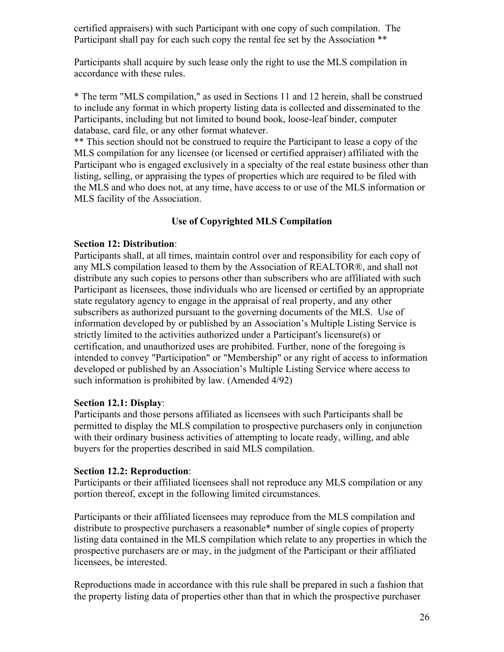certified appraisers) with such Participant with one copy of such compilation. The Participant shall pay for each such copy the rental fee set by the Association \*\*

Participants shall acquire by such lease only the right to use the MLS compilation in accordance with these rules.

\* The term "MLS compilation," as used in Sections 11 and 12 herein, shall be construed to include any format in which property listing data is collected and disseminated to the Participants, including but not limited to bound book, loose-leaf binder, computer database, card file, or any other format whatever.

\*\* This section should not be construed to require the Participant to lease a copy of the MLS compilation for any licensee (or licensed or certified appraiser) affiliated with the Participant who is engaged exclusively in a specialty of the real estate business other than listing, selling, or appraising the types of properties which are required to be filed with the MLS and who does not, at any time, have access to or use of the MLS information or MLS facility of the Association.

## **Use of Copyrighted MLS Compilation**

## **Section 12: Distribution**:

Participants shall, at all times, maintain control over and responsibility for each copy of any MLS compilation leased to them by the Association of REALTOR®, and shall not distribute any such copies to persons other than subscribers who are affiliated with such Participant as licensees, those individuals who are licensed or certified by an appropriate state regulatory agency to engage in the appraisal of real property, and any other subscribers as authorized pursuant to the governing documents of the MLS. Use of information developed by or published by an Association's Multiple Listing Service is strictly limited to the activities authorized under a Participant's licensure(s) or certification, and unauthorized uses are prohibited. Further, none of the foregoing is intended to convey "Participation" or "Membership" or any right of access to information developed or published by an Association's Multiple Listing Service where access to such information is prohibited by law. (Amended 4/92)

## **Section 12.1: Display**:

Participants and those persons affiliated as licensees with such Participants shall be permitted to display the MLS compilation to prospective purchasers only in conjunction with their ordinary business activities of attempting to locate ready, willing, and able buyers for the properties described in said MLS compilation.

#### **Section 12.2: Reproduction**:

Participants or their affiliated licensees shall not reproduce any MLS compilation or any portion thereof, except in the following limited circumstances.

Participants or their affiliated licensees may reproduce from the MLS compilation and distribute to prospective purchasers a reasonable\* number of single copies of property listing data contained in the MLS compilation which relate to any properties in which the prospective purchasers are or may, in the judgment of the Participant or their affiliated licensees, be interested.

Reproductions made in accordance with this rule shall be prepared in such a fashion that the property listing data of properties other than that in which the prospective purchaser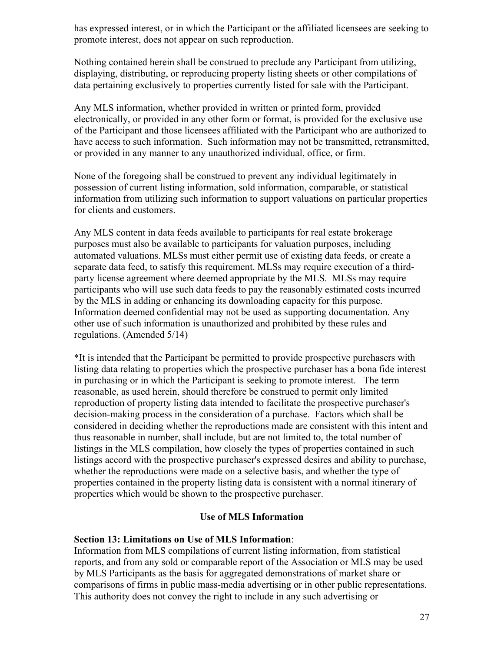has expressed interest, or in which the Participant or the affiliated licensees are seeking to promote interest, does not appear on such reproduction.

Nothing contained herein shall be construed to preclude any Participant from utilizing, displaying, distributing, or reproducing property listing sheets or other compilations of data pertaining exclusively to properties currently listed for sale with the Participant.

Any MLS information, whether provided in written or printed form, provided electronically, or provided in any other form or format, is provided for the exclusive use of the Participant and those licensees affiliated with the Participant who are authorized to have access to such information. Such information may not be transmitted, retransmitted, or provided in any manner to any unauthorized individual, office, or firm.

None of the foregoing shall be construed to prevent any individual legitimately in possession of current listing information, sold information, comparable, or statistical information from utilizing such information to support valuations on particular properties for clients and customers.

Any MLS content in data feeds available to participants for real estate brokerage purposes must also be available to participants for valuation purposes, including automated valuations. MLSs must either permit use of existing data feeds, or create a separate data feed, to satisfy this requirement. MLSs may require execution of a thirdparty license agreement where deemed appropriate by the MLS. MLSs may require participants who will use such data feeds to pay the reasonably estimated costs incurred by the MLS in adding or enhancing its downloading capacity for this purpose. Information deemed confidential may not be used as supporting documentation. Any other use of such information is unauthorized and prohibited by these rules and regulations. (Amended 5/14)

 decision-making process in the consideration of a purchase. Factors which shall be \*It is intended that the Participant be permitted to provide prospective purchasers with listing data relating to properties which the prospective purchaser has a bona fide interest in purchasing or in which the Participant is seeking to promote interest. The term reasonable, as used herein, should therefore be construed to permit only limited reproduction of property listing data intended to facilitate the prospective purchaser's considered in deciding whether the reproductions made are consistent with this intent and thus reasonable in number, shall include, but are not limited to, the total number of listings in the MLS compilation, how closely the types of properties contained in such listings accord with the prospective purchaser's expressed desires and ability to purchase, whether the reproductions were made on a selective basis, and whether the type of properties contained in the property listing data is consistent with a normal itinerary of properties which would be shown to the prospective purchaser.

#### **Use of MLS Information**

#### **Section 13: Limitations on Use of MLS Information**:

Information from MLS compilations of current listing information, from statistical reports, and from any sold or comparable report of the Association or MLS may be used by MLS Participants as the basis for aggregated demonstrations of market share or comparisons of firms in public mass-media advertising or in other public representations. This authority does not convey the right to include in any such advertising or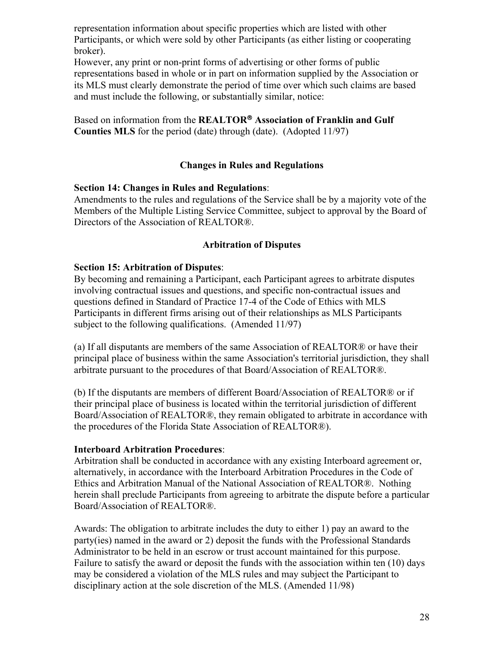representation information about specific properties which are listed with other Participants, or which were sold by other Participants (as either listing or cooperating broker).

However, any print or non-print forms of advertising or other forms of public representations based in whole or in part on information supplied by the Association or its MLS must clearly demonstrate the period of time over which such claims are based and must include the following, or substantially similar, notice:

Based on information from the **REALTOR Association of Franklin and Gulf Counties MLS** for the period (date) through (date). (Adopted 11/97)

## **Changes in Rules and Regulations**

## **Section 14: Changes in Rules and Regulations**:

Amendments to the rules and regulations of the Service shall be by a majority vote of the Members of the Multiple Listing Service Committee, subject to approval by the Board of Directors of the Association of REALTOR®.

## **Arbitration of Disputes**

## **Section 15: Arbitration of Disputes**:

By becoming and remaining a Participant, each Participant agrees to arbitrate disputes involving contractual issues and questions, and specific non-contractual issues and questions defined in Standard of Practice 17-4 of the Code of Ethics with MLS Participants in different firms arising out of their relationships as MLS Participants subject to the following qualifications. (Amended 11/97)

(a) If all disputants are members of the same Association of REALTOR® or have their principal place of business within the same Association's territorial jurisdiction, they shall arbitrate pursuant to the procedures of that Board/Association of REALTOR®.

(b) If the disputants are members of different Board/Association of REALTOR® or if their principal place of business is located within the territorial jurisdiction of different Board/Association of REALTOR®, they remain obligated to arbitrate in accordance with the procedures of the Florida State Association of REALTOR®).

#### **Interboard Arbitration Procedures**:

Arbitration shall be conducted in accordance with any existing Interboard agreement or, alternatively, in accordance with the Interboard Arbitration Procedures in the Code of Ethics and Arbitration Manual of the National Association of REALTOR®. Nothing herein shall preclude Participants from agreeing to arbitrate the dispute before a particular Board/Association of REALTOR®.

Awards: The obligation to arbitrate includes the duty to either 1) pay an award to the party(ies) named in the award or 2) deposit the funds with the Professional Standards Administrator to be held in an escrow or trust account maintained for this purpose. Failure to satisfy the award or deposit the funds with the association within ten (10) days may be considered a violation of the MLS rules and may subject the Participant to disciplinary action at the sole discretion of the MLS. (Amended 11/98)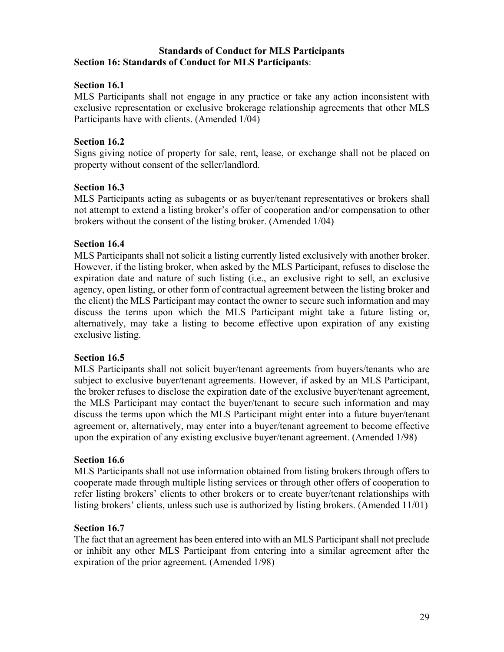#### **Standards of Conduct for MLS Participants Section 16: Standards of Conduct for MLS Participants**:

## **Section 16.1**

MLS Participants shall not engage in any practice or take any action inconsistent with exclusive representation or exclusive brokerage relationship agreements that other MLS Participants have with clients. (Amended 1/04)

## **Section 16.2**

Signs giving notice of property for sale, rent, lease, or exchange shall not be placed on property without consent of the seller/landlord.

## **Section 16.3**

MLS Participants acting as subagents or as buyer/tenant representatives or brokers shall not attempt to extend a listing broker's offer of cooperation and/or compensation to other brokers without the consent of the listing broker. (Amended 1/04)

#### **Section 16.4**

 However, if the listing broker, when asked by the MLS Participant, refuses to disclose the discuss the terms upon which the MLS Participant might take a future listing or, MLS Participants shall not solicit a listing currently listed exclusively with another broker. expiration date and nature of such listing (i.e., an exclusive right to sell, an exclusive agency, open listing, or other form of contractual agreement between the listing broker and the client) the MLS Participant may contact the owner to secure such information and may alternatively, may take a listing to become effective upon expiration of any existing exclusive listing.

#### **Section 16.5**

 the broker refuses to disclose the expiration date of the exclusive buyer/tenant agreement, MLS Participants shall not solicit buyer/tenant agreements from buyers/tenants who are subject to exclusive buyer/tenant agreements. However, if asked by an MLS Participant, the MLS Participant may contact the buyer/tenant to secure such information and may discuss the terms upon which the MLS Participant might enter into a future buyer/tenant agreement or, alternatively, may enter into a buyer/tenant agreement to become effective upon the expiration of any existing exclusive buyer/tenant agreement. (Amended 1/98)

## **Section 16.6**

MLS Participants shall not use information obtained from listing brokers through offers to cooperate made through multiple listing services or through other offers of cooperation to refer listing brokers' clients to other brokers or to create buyer/tenant relationships with listing brokers' clients, unless such use is authorized by listing brokers. (Amended 11/01)

#### **Section 16.7**

 or inhibit any other MLS Participant from entering into a similar agreement after the The fact that an agreement has been entered into with an MLS Participant shall not preclude expiration of the prior agreement. (Amended 1/98)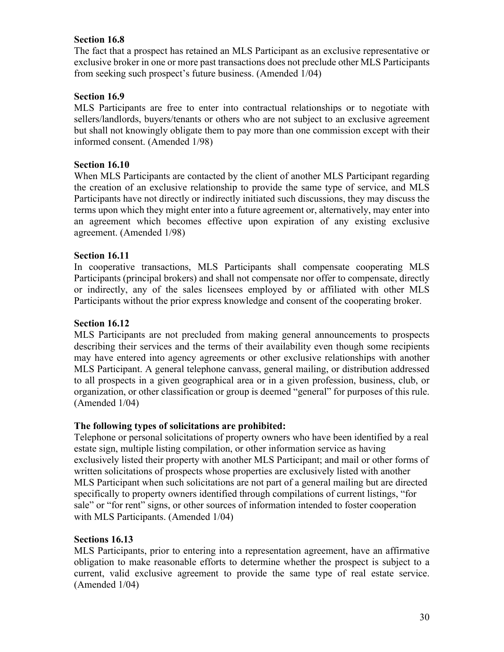## **Section 16.8**

The fact that a prospect has retained an MLS Participant as an exclusive representative or exclusive broker in one or more past transactions does not preclude other MLS Participants from seeking such prospect's future business. (Amended 1/04)

## **Section 16.9**

 MLS Participants are free to enter into contractual relationships or to negotiate with sellers/landlords, buyers/tenants or others who are not subject to an exclusive agreement but shall not knowingly obligate them to pay more than one commission except with their informed consent. (Amended 1/98)

## **Section 16.10**

When MLS Participants are contacted by the client of another MLS Participant regarding the creation of an exclusive relationship to provide the same type of service, and MLS Participants have not directly or indirectly initiated such discussions, they may discuss the terms upon which they might enter into a future agreement or, alternatively, may enter into an agreement which becomes effective upon expiration of any existing exclusive agreement. (Amended 1/98)

## **Section 16.11**

In cooperative transactions, MLS Participants shall compensate cooperating MLS Participants (principal brokers) and shall not compensate nor offer to compensate, directly or indirectly, any of the sales licensees employed by or affiliated with other MLS Participants without the prior express knowledge and consent of the cooperating broker.

## **Section 16.12**

MLS Participants are not precluded from making general announcements to prospects describing their services and the terms of their availability even though some recipients may have entered into agency agreements or other exclusive relationships with another MLS Participant. A general telephone canvass, general mailing, or distribution addressed to all prospects in a given geographical area or in a given profession, business, club, or organization, or other classification or group is deemed "general" for purposes of this rule. (Amended 1/04)

## **The following types of solicitations are prohibited:**

Telephone or personal solicitations of property owners who have been identified by a real estate sign, multiple listing compilation, or other information service as having exclusively listed their property with another MLS Participant; and mail or other forms of written solicitations of prospects whose properties are exclusively listed with another MLS Participant when such solicitations are not part of a general mailing but are directed specifically to property owners identified through compilations of current listings, "for sale" or "for rent" signs, or other sources of information intended to foster cooperation with MLS Participants. (Amended 1/04)

#### **Sections 16.13**

MLS Participants, prior to entering into a representation agreement, have an affirmative obligation to make reasonable efforts to determine whether the prospect is subject to a current, valid exclusive agreement to provide the same type of real estate service. (Amended 1/04)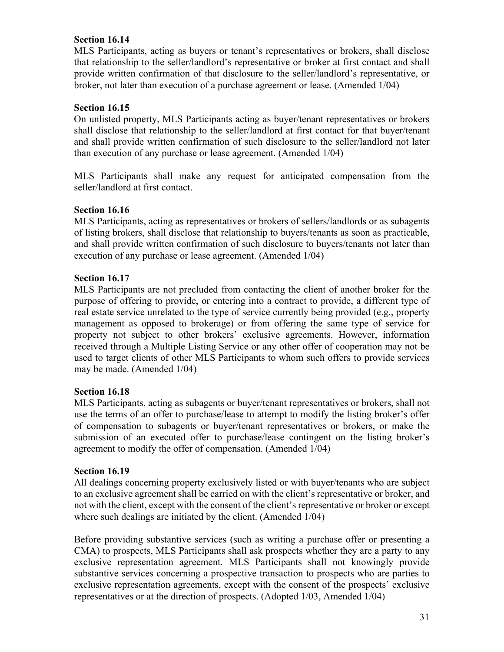## **Section 16.14**

MLS Participants, acting as buyers or tenant's representatives or brokers, shall disclose that relationship to the seller/landlord's representative or broker at first contact and shall provide written confirmation of that disclosure to the seller/landlord's representative, or broker, not later than execution of a purchase agreement or lease. (Amended 1/04)

## **Section 16.15**

On unlisted property, MLS Participants acting as buyer/tenant representatives or brokers shall disclose that relationship to the seller/landlord at first contact for that buyer/tenant and shall provide written confirmation of such disclosure to the seller/landlord not later than execution of any purchase or lease agreement. (Amended 1/04)

 MLS Participants shall make any request for anticipated compensation from the seller/landlord at first contact.

## **Section 16.16**

MLS Participants, acting as representatives or brokers of sellers/landlords or as subagents of listing brokers, shall disclose that relationship to buyers/tenants as soon as practicable, and shall provide written confirmation of such disclosure to buyers/tenants not later than execution of any purchase or lease agreement. (Amended 1/04)

## **Section 16.17**

MLS Participants are not precluded from contacting the client of another broker for the purpose of offering to provide, or entering into a contract to provide, a different type of real estate service unrelated to the type of service currently being provided (e.g., property management as opposed to brokerage) or from offering the same type of service for property not subject to other brokers' exclusive agreements. However, information received through a Multiple Listing Service or any other offer of cooperation may not be used to target clients of other MLS Participants to whom such offers to provide services may be made. (Amended 1/04)

## **Section 16.18**

 of compensation to subagents or buyer/tenant representatives or brokers, or make the MLS Participants, acting as subagents or buyer/tenant representatives or brokers, shall not use the terms of an offer to purchase/lease to attempt to modify the listing broker's offer submission of an executed offer to purchase/lease contingent on the listing broker's agreement to modify the offer of compensation. (Amended 1/04)

#### **Section 16.19**

 All dealings concerning property exclusively listed or with buyer/tenants who are subject to an exclusive agreement shall be carried on with the client's representative or broker, and not with the client, except with the consent of the client's representative or broker or except where such dealings are initiated by the client. (Amended 1/04)

Before providing substantive services (such as writing a purchase offer or presenting a CMA) to prospects, MLS Participants shall ask prospects whether they are a party to any exclusive representation agreement. MLS Participants shall not knowingly provide substantive services concerning a prospective transaction to prospects who are parties to exclusive representation agreements, except with the consent of the prospects' exclusive representatives or at the direction of prospects. (Adopted 1/03, Amended 1/04)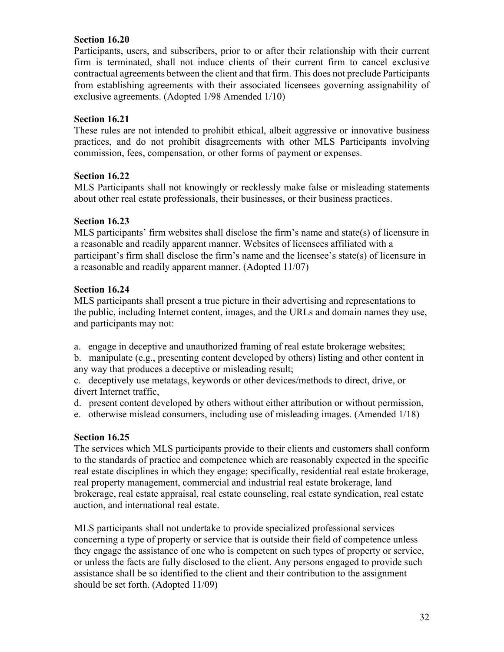## **Section 16.20**

Participants, users, and subscribers, prior to or after their relationship with their current firm is terminated, shall not induce clients of their current firm to cancel exclusive contractual agreements between the client and that firm. This does not preclude Participants from establishing agreements with their associated licensees governing assignability of exclusive agreements. (Adopted 1/98 Amended 1/10)

## **Section 16.21**

These rules are not intended to prohibit ethical, albeit aggressive or innovative business practices, and do not prohibit disagreements with other MLS Participants involving commission, fees, compensation, or other forms of payment or expenses.

## **Section 16.22**

MLS Participants shall not knowingly or recklessly make false or misleading statements about other real estate professionals, their businesses, or their business practices.

## **Section 16.23**

MLS participants' firm websites shall disclose the firm's name and state(s) of licensure in a reasonable and readily apparent manner. Websites of licensees affiliated with a participant's firm shall disclose the firm's name and the licensee's state(s) of licensure in a reasonable and readily apparent manner. (Adopted 11/07)

# **Section 16.24**

MLS participants shall present a true picture in their advertising and representations to the public, including Internet content, images, and the URLs and domain names they use, and participants may not:

- a. engage in deceptive and unauthorized framing of real estate brokerage websites;
- b. manipulate (e.g., presenting content developed by others) listing and other content in any way that produces a deceptive or misleading result;
- c. deceptively use metatags, keywords or other devices/methods to direct, drive, or divert Internet traffic,
- d. present content developed by others without either attribution or without permission,
- e. otherwise mislead consumers, including use of misleading images. (Amended 1/18)

# **Section 16.25**

The services which MLS participants provide to their clients and customers shall conform to the standards of practice and competence which are reasonably expected in the specific real estate disciplines in which they engage; specifically, residential real estate brokerage, real property management, commercial and industrial real estate brokerage, land brokerage, real estate appraisal, real estate counseling, real estate syndication, real estate auction, and international real estate.

MLS participants shall not undertake to provide specialized professional services concerning a type of property or service that is outside their field of competence unless they engage the assistance of one who is competent on such types of property or service, or unless the facts are fully disclosed to the client. Any persons engaged to provide such assistance shall be so identified to the client and their contribution to the assignment should be set forth. (Adopted 11/09)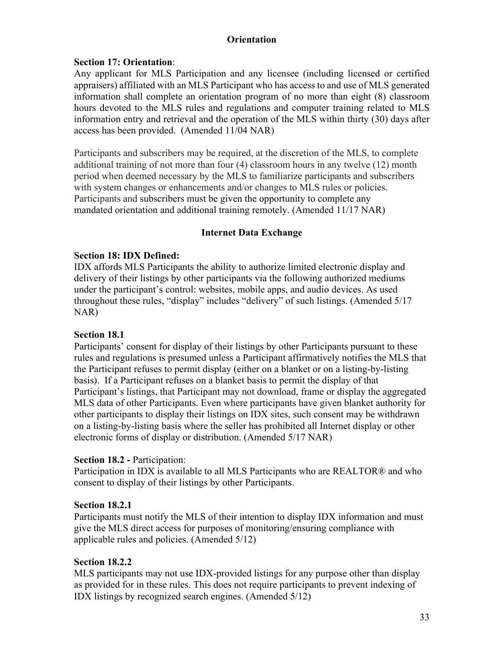## **Orientation**

## **Section 17: Orientation**:

Any applicant for MLS Participation and any licensee (including licensed or certified appraisers) affiliated with an MLS Participant who has access to and use of MLS generated information shall complete an orientation program of no more than eight (8) classroom hours devoted to the MLS rules and regulations and computer training related to MLS information entry and retrieval and the operation of the MLS within thirty (30) days after access has been provided. (Amended 11/04 NAR)

Participants and subscribers may be required, at the discretion of the MLS, to complete additional training of not more than four (4) classroom hours in any twelve (12) month period when deemed necessary by the MLS to familiarize participants and subscribers with system changes or enhancements and/or changes to MLS rules or policies. Participants and subscribers must be given the opportunity to complete any mandated orientation and additional training remotely. (Amended 11/17 NAR)

## **Internet Data Exchange**

#### **Section 18: IDX Defined:**

IDX affords MLS Participants the ability to authorize limited electronic display and delivery of their listings by other participants via the following authorized mediums under the participant's control: websites, mobile apps, and audio devices. As used throughout these rules, "display" includes "delivery" of such listings. (Amended 5/17 NAR)

#### **Section 18.1**

Participants' consent for display of their listings by other Participants pursuant to these rules and regulations is presumed unless a Participant affirmatively notifies the MLS that the Participant refuses to permit display (either on a blanket or on a listing-by-listing basis). If a Participant refuses on a blanket basis to permit the display of that Participant's listings, that Participant may not download, frame or display the aggregated MLS data of other Participants. Even where participants have given blanket authority for other participants to display their listings on IDX sites, such consent may be withdrawn on a listing-by-listing basis where the seller has prohibited all Internet display or other electronic forms of display or distribution. (Amended 5/17 NAR)

#### **Section 18.2 -** Participation:

Participation in IDX is available to all MLS Participants who are REALTOR® and who consent to display of their listings by other Participants.

#### **Section 18.2.1**

Participants must notify the MLS of their intention to display IDX information and must give the MLS direct access for purposes of monitoring/ensuring compliance with applicable rules and policies. (Amended 5/12)

#### **Section 18.2.2**

MLS participants may not use IDX-provided listings for any purpose other than display as provided for in these rules. This does not require participants to prevent indexing of IDX listings by recognized search engines. (Amended 5/12)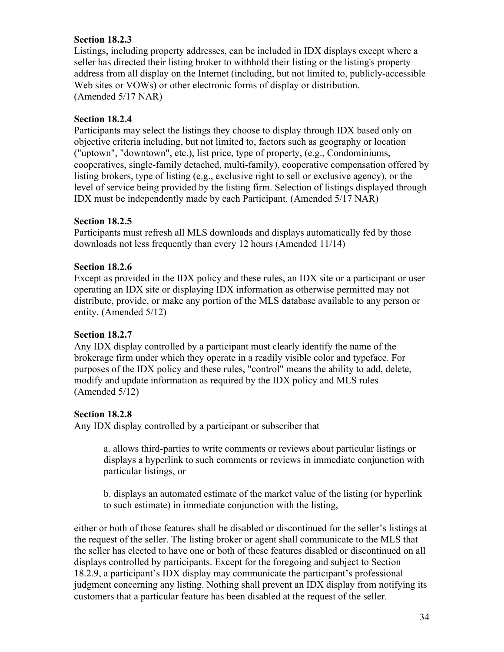## **Section 18.2.3**

Listings, including property addresses, can be included in IDX displays except where a seller has directed their listing broker to withhold their listing or the listing's property address from all display on the Internet (including, but not limited to, publicly-accessible Web sites or VOWs) or other electronic forms of display or distribution. (Amended 5/17 NAR)

## **Section 18.2.4**

Participants may select the listings they choose to display through IDX based only on objective criteria including, but not limited to, factors such as geography or location ("uptown", "downtown", etc.), list price, type of property, (e.g., Condominiums, cooperatives, single-family detached, multi-family), cooperative compensation offered by listing brokers, type of listing (e.g., exclusive right to sell or exclusive agency), or the level of service being provided by the listing firm. Selection of listings displayed through IDX must be independently made by each Participant. (Amended 5/17 NAR)

## **Section 18.2.5**

Participants must refresh all MLS downloads and displays automatically fed by those downloads not less frequently than every 12 hours (Amended 11/14)

## **Section 18.2.6**

Except as provided in the IDX policy and these rules, an IDX site or a participant or user operating an IDX site or displaying IDX information as otherwise permitted may not distribute, provide, or make any portion of the MLS database available to any person or entity. (Amended 5/12)

## **Section 18.2.7**

Any IDX display controlled by a participant must clearly identify the name of the brokerage firm under which they operate in a readily visible color and typeface. For purposes of the IDX policy and these rules, "control" means the ability to add, delete, modify and update information as required by the IDX policy and MLS rules (Amended 5/12)

# **Section 18.2.8**

Any IDX display controlled by a participant or subscriber that

a. allows third-parties to write comments or reviews about particular listings or displays a hyperlink to such comments or reviews in immediate conjunction with particular listings, or

b. displays an automated estimate of the market value of the listing (or hyperlink to such estimate) in immediate conjunction with the listing,

either or both of those features shall be disabled or discontinued for the seller's listings at the request of the seller. The listing broker or agent shall communicate to the MLS that the seller has elected to have one or both of these features disabled or discontinued on all displays controlled by participants. Except for the foregoing and subject to Section 18.2.9, a participant's IDX display may communicate the participant's professional judgment concerning any listing. Nothing shall prevent an IDX display from notifying its customers that a particular feature has been disabled at the request of the seller.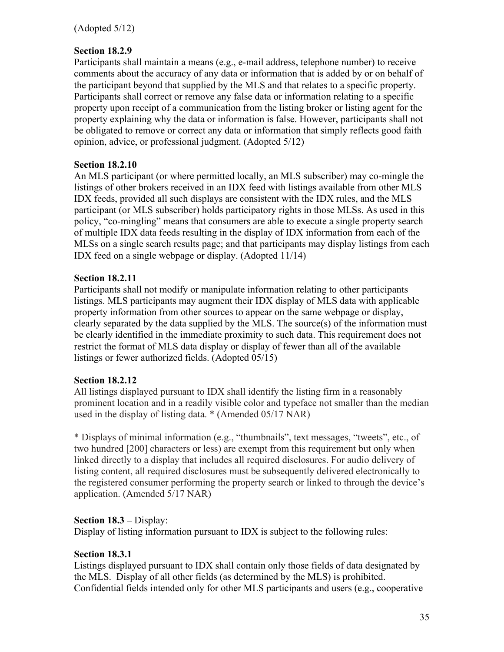## **Section 18.2.9**

Participants shall maintain a means (e.g., e-mail address, telephone number) to receive comments about the accuracy of any data or information that is added by or on behalf of the participant beyond that supplied by the MLS and that relates to a specific property. Participants shall correct or remove any false data or information relating to a specific property upon receipt of a communication from the listing broker or listing agent for the property explaining why the data or information is false. However, participants shall not be obligated to remove or correct any data or information that simply reflects good faith opinion, advice, or professional judgment. (Adopted 5/12)

#### **Section 18.2.10**

An MLS participant (or where permitted locally, an MLS subscriber) may co-mingle the listings of other brokers received in an IDX feed with listings available from other MLS IDX feeds, provided all such displays are consistent with the IDX rules, and the MLS participant (or MLS subscriber) holds participatory rights in those MLSs. As used in this policy, "co-mingling" means that consumers are able to execute a single property search of multiple IDX data feeds resulting in the display of IDX information from each of the MLSs on a single search results page; and that participants may display listings from each IDX feed on a single webpage or display. (Adopted 11/14)

#### **Section 18.2.11**

Participants shall not modify or manipulate information relating to other participants listings. MLS participants may augment their IDX display of MLS data with applicable property information from other sources to appear on the same webpage or display, clearly separated by the data supplied by the MLS. The source(s) of the information must be clearly identified in the immediate proximity to such data. This requirement does not restrict the format of MLS data display or display of fewer than all of the available listings or fewer authorized fields. (Adopted 05/15)

#### **Section 18.2.12**

All listings displayed pursuant to IDX shall identify the listing firm in a reasonably prominent location and in a readily visible color and typeface not smaller than the median used in the display of listing data. \* (Amended 05/17 NAR)

\* Displays of minimal information (e.g., "thumbnails", text messages, "tweets", etc., of two hundred [200] characters or less) are exempt from this requirement but only when linked directly to a display that includes all required disclosures. For audio delivery of listing content, all required disclosures must be subsequently delivered electronically to the registered consumer performing the property search or linked to through the device's application. (Amended 5/17 NAR)

## **Section 18.3 –** Display:

Display of listing information pursuant to IDX is subject to the following rules:

#### **Section 18.3.1**

Listings displayed pursuant to IDX shall contain only those fields of data designated by the MLS. Display of all other fields (as determined by the MLS) is prohibited. Confidential fields intended only for other MLS participants and users (e.g., cooperative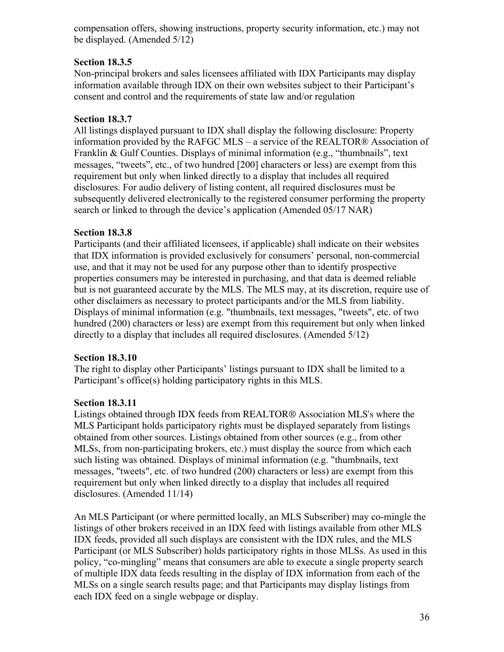compensation offers, showing instructions, property security information, etc.) may not be displayed. (Amended 5/12)

# **Section 18.3.5**

Non-principal brokers and sales licensees affiliated with IDX Participants may display information available through IDX on their own websites subject to their Participant's consent and control and the requirements of state law and/or regulation

## **Section 18.3.7**

All listings displayed pursuant to IDX shall display the following disclosure: Property information provided by the RAFGC MLS – a service of the REALTOR® Association of Franklin & Gulf Counties. Displays of minimal information (e.g., "thumbnails", text messages, "tweets", etc., of two hundred [200] characters or less) are exempt from this requirement but only when linked directly to a display that includes all required disclosures. For audio delivery of listing content, all required disclosures must be subsequently delivered electronically to the registered consumer performing the property search or linked to through the device's application (Amended 05/17 NAR)

## **Section 18.3.8**

Participants (and their affiliated licensees, if applicable) shall indicate on their websites that IDX information is provided exclusively for consumers' personal, non-commercial use, and that it may not be used for any purpose other than to identify prospective properties consumers may be interested in purchasing, and that data is deemed reliable but is not guaranteed accurate by the MLS. The MLS may, at its discretion, require use of other disclaimers as necessary to protect participants and/or the MLS from liability. Displays of minimal information (e.g. "thumbnails, text messages, "tweets", etc. of two hundred (200) characters or less) are exempt from this requirement but only when linked directly to a display that includes all required disclosures. (Amended 5/12)

## **Section 18.3.10**

The right to display other Participants' listings pursuant to IDX shall be limited to a Participant's office(s) holding participatory rights in this MLS.

## **Section 18.3.11**

Listings obtained through IDX feeds from REALTOR® Association MLS's where the MLS Participant holds participatory rights must be displayed separately from listings obtained from other sources. Listings obtained from other sources (e.g., from other MLSs, from non-participating brokers, etc.) must display the source from which each such listing was obtained. Displays of minimal information (e.g. "thumbnails, text messages, "tweets", etc. of two hundred (200) characters or less) are exempt from this requirement but only when linked directly to a display that includes all required disclosures. (Amended 11/14)

An MLS Participant (or where permitted locally, an MLS Subscriber) may co-mingle the listings of other brokers received in an IDX feed with listings available from other MLS IDX feeds, provided all such displays are consistent with the IDX rules, and the MLS Participant (or MLS Subscriber) holds participatory rights in those MLSs. As used in this policy, "co-mingling" means that consumers are able to execute a single property search of multiple IDX data feeds resulting in the display of IDX information from each of the MLSs on a single search results page; and that Participants may display listings from each IDX feed on a single webpage or display.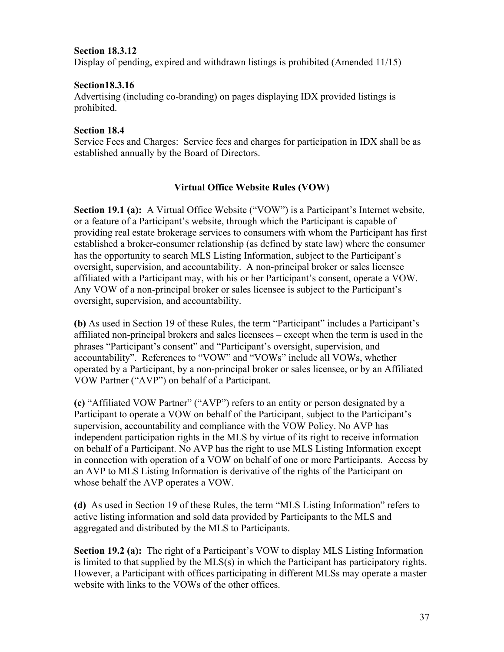## **Section 18.3.12**

Display of pending, expired and withdrawn listings is prohibited (Amended 11/15)

#### **[Section18.3.16](https://Section18.3.16)**

Advertising (including co-branding) on pages displaying IDX provided listings is prohibited.

## **Section 18.4**

Service Fees and Charges: Service fees and charges for participation in IDX shall be as established annually by the Board of Directors.

## **Virtual Office Website Rules (VOW)**

**Section 19.1 (a):** A Virtual Office Website ("VOW") is a Participant's Internet website, or a feature of a Participant's website, through which the Participant is capable of providing real estate brokerage services to consumers with whom the Participant has first established a broker-consumer relationship (as defined by state law) where the consumer has the opportunity to search MLS Listing Information, subject to the Participant's oversight, supervision, and accountability. A non-principal broker or sales licensee affiliated with a Participant may, with his or her Participant's consent, operate a VOW. Any VOW of a non-principal broker or sales licensee is subject to the Participant's oversight, supervision, and accountability.

**(b)** As used in Section 19 of these Rules, the term "Participant" includes a Participant's affiliated non-principal brokers and sales licensees – except when the term is used in the phrases "Participant's consent" and "Participant's oversight, supervision, and accountability". References to "VOW" and "VOWs" include all VOWs, whether operated by a Participant, by a non-principal broker or sales licensee, or by an Affiliated VOW Partner ("AVP") on behalf of a Participant.

**(c)** "Affiliated VOW Partner" ("AVP") refers to an entity or person designated by a Participant to operate a VOW on behalf of the Participant, subject to the Participant's supervision, accountability and compliance with the VOW Policy. No AVP has independent participation rights in the MLS by virtue of its right to receive information on behalf of a Participant. No AVP has the right to use MLS Listing Information except in connection with operation of a VOW on behalf of one or more Participants. Access by an AVP to MLS Listing Information is derivative of the rights of the Participant on whose behalf the AVP operates a VOW.

**(d)** As used in Section 19 of these Rules, the term "MLS Listing Information" refers to active listing information and sold data provided by Participants to the MLS and aggregated and distributed by the MLS to Participants.

**Section 19.2 (a):** The right of a Participant's VOW to display MLS Listing Information is limited to that supplied by the MLS(s) in which the Participant has participatory rights. However, a Participant with offices participating in different MLSs may operate a master website with links to the VOWs of the other offices.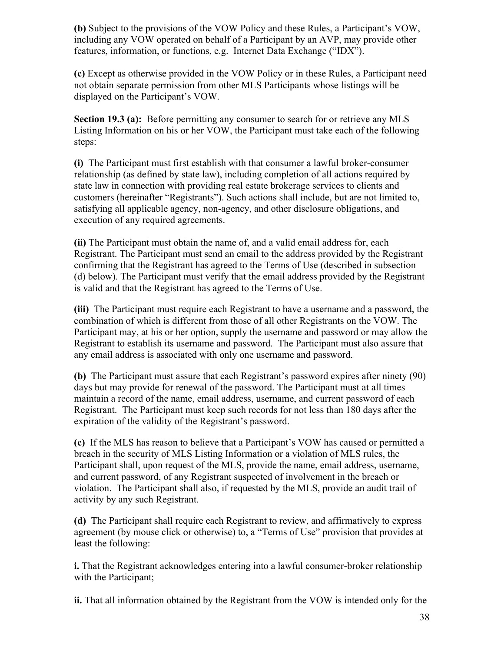**(b)** Subject to the provisions of the VOW Policy and these Rules, a Participant's VOW, including any VOW operated on behalf of a Participant by an AVP, may provide other features, information, or functions, e.g. Internet Data Exchange ("IDX").

**(c)** Except as otherwise provided in the VOW Policy or in these Rules, a Participant need not obtain separate permission from other MLS Participants whose listings will be displayed on the Participant's VOW.

**Section 19.3 (a):** Before permitting any consumer to search for or retrieve any MLS Listing Information on his or her VOW, the Participant must take each of the following steps:

 **(i)** The Participant must first establish with that consumer a lawful broker-consumer relationship (as defined by state law), including completion of all actions required by state law in connection with providing real estate brokerage services to clients and customers (hereinafter "Registrants"). Such actions shall include, but are not limited to, satisfying all applicable agency, non-agency, and other disclosure obligations, and execution of any required agreements.

**(ii)** The Participant must obtain the name of, and a valid email address for, each Registrant. The Participant must send an email to the address provided by the Registrant confirming that the Registrant has agreed to the Terms of Use (described in subsection (d) below). The Participant must verify that the email address provided by the Registrant is valid and that the Registrant has agreed to the Terms of Use.

**(iii)** The Participant must require each Registrant to have a username and a password, the combination of which is different from those of all other Registrants on the VOW. The Participant may, at his or her option, supply the username and password or may allow the Registrant to establish its username and password. The Participant must also assure that any email address is associated with only one username and password.

**(b)** The Participant must assure that each Registrant's password expires after ninety (90) days but may provide for renewal of the password. The Participant must at all times maintain a record of the name, email address, username, and current password of each Registrant. The Participant must keep such records for not less than 180 days after the expiration of the validity of the Registrant's password.

**(c)** If the MLS has reason to believe that a Participant's VOW has caused or permitted a breach in the security of MLS Listing Information or a violation of MLS rules, the Participant shall, upon request of the MLS, provide the name, email address, username, and current password, of any Registrant suspected of involvement in the breach or violation. The Participant shall also, if requested by the MLS, provide an audit trail of activity by any such Registrant.

**(d)** The Participant shall require each Registrant to review, and affirmatively to express agreement (by mouse click or otherwise) to, a "Terms of Use" provision that provides at least the following:

**i.** That the Registrant acknowledges entering into a lawful consumer-broker relationship with the Participant;

**ii.** That all information obtained by the Registrant from the VOW is intended only for the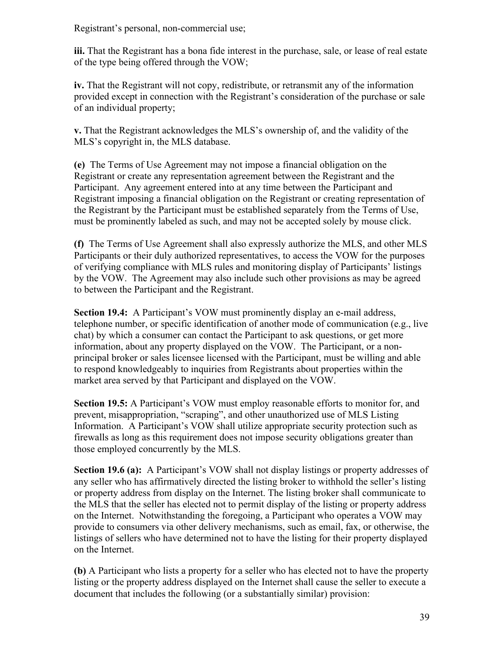Registrant's personal, non-commercial use;

**iii.** That the Registrant has a bona fide interest in the purchase, sale, or lease of real estate of the type being offered through the VOW;

**iv.** That the Registrant will not copy, redistribute, or retransmit any of the information provided except in connection with the Registrant's consideration of the purchase or sale of an individual property;

**v.** That the Registrant acknowledges the MLS's ownership of, and the validity of the MLS's copyright in, the MLS database.

**(e)** The Terms of Use Agreement may not impose a financial obligation on the Registrant or create any representation agreement between the Registrant and the Participant. Any agreement entered into at any time between the Participant and Registrant imposing a financial obligation on the Registrant or creating representation of the Registrant by the Participant must be established separately from the Terms of Use, must be prominently labeled as such, and may not be accepted solely by mouse click.

**(f)** The Terms of Use Agreement shall also expressly authorize the MLS, and other MLS Participants or their duly authorized representatives, to access the VOW for the purposes of verifying compliance with MLS rules and monitoring display of Participants' listings by the VOW. The Agreement may also include such other provisions as may be agreed to between the Participant and the Registrant.

**Section 19.4:** A Participant's VOW must prominently display an e-mail address, telephone number, or specific identification of another mode of communication (e.g., live chat) by which a consumer can contact the Participant to ask questions, or get more information, about any property displayed on the VOW. The Participant, or a nonprincipal broker or sales licensee licensed with the Participant, must be willing and able to respond knowledgeably to inquiries from Registrants about properties within the market area served by that Participant and displayed on the VOW.

**Section 19.5:** A Participant's VOW must employ reasonable efforts to monitor for, and prevent, misappropriation, "scraping", and other unauthorized use of MLS Listing Information. A Participant's VOW shall utilize appropriate security protection such as firewalls as long as this requirement does not impose security obligations greater than those employed concurrently by the MLS.

**Section 19.6 (a):** A Participant's VOW shall not display listings or property addresses of any seller who has affirmatively directed the listing broker to withhold the seller's listing or property address from display on the Internet. The listing broker shall communicate to the MLS that the seller has elected not to permit display of the listing or property address on the Internet. Notwithstanding the foregoing, a Participant who operates a VOW may provide to consumers via other delivery mechanisms, such as email, fax, or otherwise, the listings of sellers who have determined not to have the listing for their property displayed on the Internet.

**(b)** A Participant who lists a property for a seller who has elected not to have the property listing or the property address displayed on the Internet shall cause the seller to execute a document that includes the following (or a substantially similar) provision: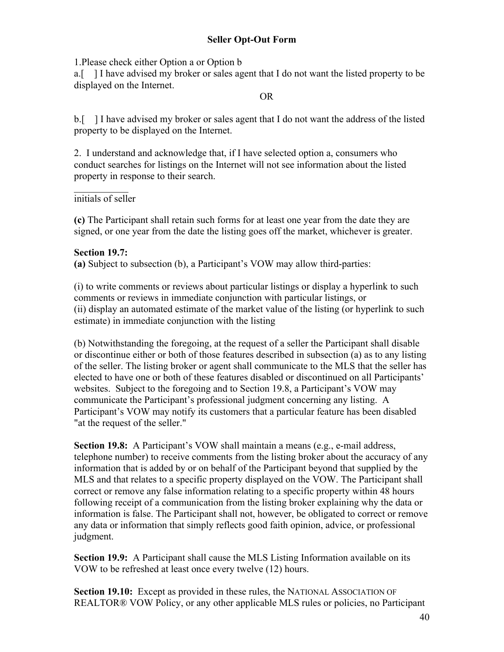1.Please check either Option a or Option b

a.[ ] I have advised my broker or sales agent that I do not want the listed property to be displayed on the Internet.

#### OR

b.[ ] I have advised my broker or sales agent that I do not want the address of the listed property to be displayed on the Internet.

2. I understand and acknowledge that, if I have selected option a, consumers who conduct searches for listings on the Internet will not see information about the listed property in response to their search.

initials of seller

**(c)** The Participant shall retain such forms for at least one year from the date they are signed, or one year from the date the listing goes off the market, whichever is greater.

## **Section 19.7:**

**(a)** Subject to subsection (b), a Participant's VOW may allow third-parties:

(i) to write comments or reviews about particular listings or display a hyperlink to such comments or reviews in immediate conjunction with particular listings, or (ii) display an automated estimate of the market value of the listing (or hyperlink to such estimate) in immediate conjunction with the listing

(b) Notwithstanding the foregoing, at the request of a seller the Participant shall disable or discontinue either or both of those features described in subsection (a) as to any listing of the seller. The listing broker or agent shall communicate to the MLS that the seller has elected to have one or both of these features disabled or discontinued on all Participants' websites. Subject to the foregoing and to Section 19.8, a Participant's VOW may communicate the Participant's professional judgment concerning any listing. A Participant's VOW may notify its customers that a particular feature has been disabled "at the request of the seller."

**Section 19.8:** A Participant's VOW shall maintain a means (e.g., e-mail address, telephone number) to receive comments from the listing broker about the accuracy of any information that is added by or on behalf of the Participant beyond that supplied by the MLS and that relates to a specific property displayed on the VOW. The Participant shall correct or remove any false information relating to a specific property within 48 hours following receipt of a communication from the listing broker explaining why the data or information is false. The Participant shall not, however, be obligated to correct or remove any data or information that simply reflects good faith opinion, advice, or professional judgment.

**Section 19.9:** A Participant shall cause the MLS Listing Information available on its VOW to be refreshed at least once every twelve (12) hours.

**Section 19.10:** Except as provided in these rules, the NATIONAL ASSOCIATION OF REALTOR® VOW Policy, or any other applicable MLS rules or policies, no Participant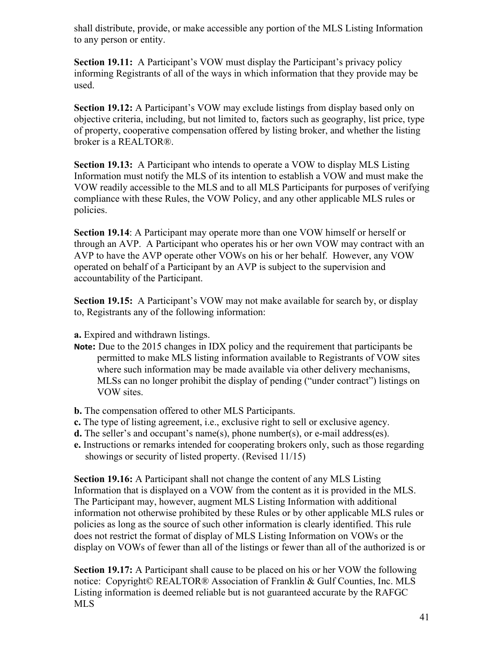shall distribute, provide, or make accessible any portion of the MLS Listing Information to any person or entity.

**Section 19.11:** A Participant's VOW must display the Participant's privacy policy informing Registrants of all of the ways in which information that they provide may be used.

**Section 19.12:** A Participant's VOW may exclude listings from display based only on objective criteria, including, but not limited to, factors such as geography, list price, type of property, cooperative compensation offered by listing broker, and whether the listing broker is a REALTOR®.

**Section 19.13:** A Participant who intends to operate a VOW to display MLS Listing Information must notify the MLS of its intention to establish a VOW and must make the VOW readily accessible to the MLS and to all MLS Participants for purposes of verifying compliance with these Rules, the VOW Policy, and any other applicable MLS rules or policies.

**Section 19.14**: A Participant may operate more than one VOW himself or herself or through an AVP. A Participant who operates his or her own VOW may contract with an AVP to have the AVP operate other VOWs on his or her behalf. However, any VOW operated on behalf of a Participant by an AVP is subject to the supervision and accountability of the Participant.

**Section 19.15:** A Participant's VOW may not make available for search by, or display to, Registrants any of the following information:

**a.** Expired and withdrawn listings.

- **Note:** Due to the 2015 changes in IDX policy and the requirement that participants be permitted to make MLS listing information available to Registrants of VOW sites where such information may be made available via other delivery mechanisms, MLSs can no longer prohibit the display of pending ("under contract") listings on VOW sites.
- **b.** The compensation offered to other MLS Participants.
- **c.** The type of listing agreement, i.e., exclusive right to sell or exclusive agency.
- **d.** The seller's and occupant's name(s), phone number(s), or e-mail address(es).
- **e.** Instructions or remarks intended for cooperating brokers only, such as those regarding showings or security of listed property. (Revised 11/15)

**Section 19.16:** A Participant shall not change the content of any MLS Listing Information that is displayed on a VOW from the content as it is provided in the MLS. The Participant may, however, augment MLS Listing Information with additional information not otherwise prohibited by these Rules or by other applicable MLS rules or policies as long as the source of such other information is clearly identified. This rule does not restrict the format of display of MLS Listing Information on VOWs or the display on VOWs of fewer than all of the listings or fewer than all of the authorized is or

**Section 19.17:** A Participant shall cause to be placed on his or her VOW the following notice: Copyright© REALTOR® Association of Franklin & Gulf Counties, Inc. MLS Listing information is deemed reliable but is not guaranteed accurate by the RAFGC MLS